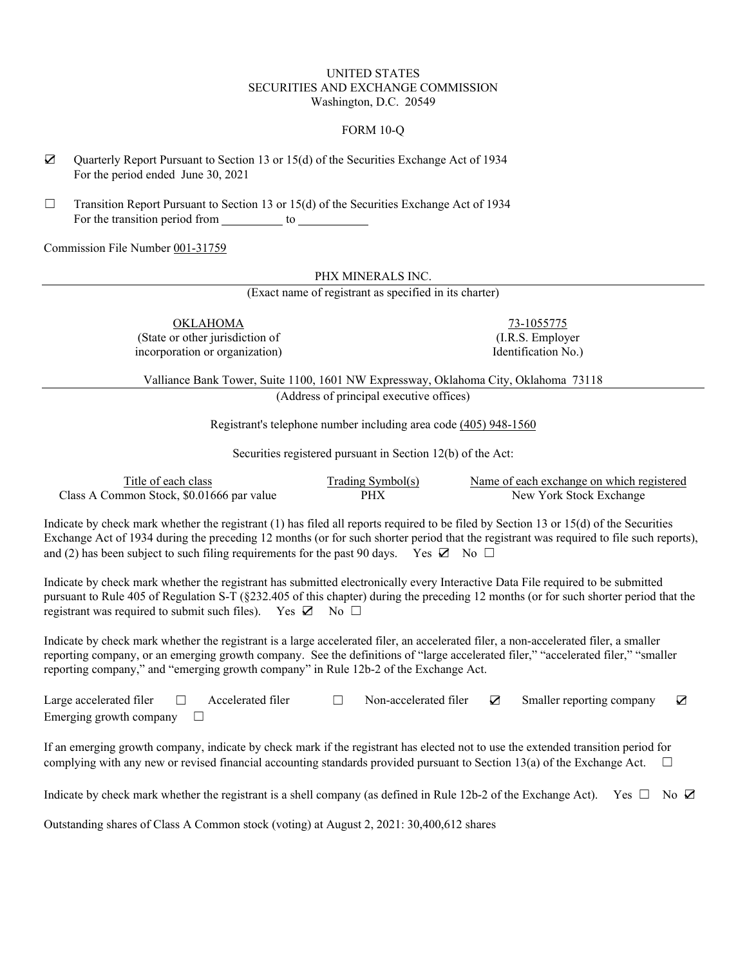## UNITED STATES SECURITIES AND EXCHANGE COMMISSION Washington, D.C. 20549

# FORM 10-Q

- ☑ Quarterly Report Pursuant to Section 13 or 15(d) of the Securities Exchange Act of 1934 For the period ended June 30, 2021
- $\Box$  Transition Report Pursuant to Section 13 or 15(d) of the Securities Exchange Act of 1934 For the transition period from \_\_\_\_\_\_\_\_\_ to \_\_\_\_\_

Commission File Number 001-31759

# PHX MINERALS INC.

(Exact name of registrant as specified in its charter)

OKLAHOMA 73-1055775 (State or other jurisdiction of incorporation or organization)

(I.R.S. Employer Identification No.)

Valliance Bank Tower, Suite 1100, 1601 NW Expressway, Oklahoma City, Oklahoma 73118 (Address of principal executive offices)

Registrant's telephone number including area code (405) 948-1560

Securities registered pursuant in Section 12(b) of the Act:

| Title of each class                       | Trading Symbol(s) | Name of each exchange on which registered |
|-------------------------------------------|-------------------|-------------------------------------------|
| Class A Common Stock, \$0.01666 par value | <b>PHX</b>        | New York Stock Exchange                   |

Indicate by check mark whether the registrant (1) has filed all reports required to be filed by Section 13 or 15(d) of the Securities Exchange Act of 1934 during the preceding 12 months (or for such shorter period that the registrant was required to file such reports), and (2) has been subject to such filing requirements for the past 90 days. Yes  $\boxtimes$  No  $\Box$ 

Indicate by check mark whether the registrant has submitted electronically every Interactive Data File required to be submitted pursuant to Rule 405 of Regulation S-T (§232.405 of this chapter) during the preceding 12 months (or for such shorter period that the registrant was required to submit such files). Yes  $\boxtimes$  No  $\square$ 

Indicate by check mark whether the registrant is a large accelerated filer, an accelerated filer, a non-accelerated filer, a smaller reporting company, or an emerging growth company. See the definitions of "large accelerated filer," "accelerated filer," "smaller reporting company," and "emerging growth company" in Rule 12b-2 of the Exchange Act.

Large accelerated filer □ Accelerated filer □ Non-accelerated filer ☑ Smaller reporting company ☑ Emerging growth company  $\Box$ 

If an emerging growth company, indicate by check mark if the registrant has elected not to use the extended transition period for complying with any new or revised financial accounting standards provided pursuant to Section 13(a) of the Exchange Act.  $\Box$ 

Indicate by check mark whether the registrant is a shell company (as defined in Rule 12b-2 of the Exchange Act). Yes  $\Box$  No  $\Box$ 

Outstanding shares of Class A Common stock (voting) at August 2, 2021: 30,400,612 shares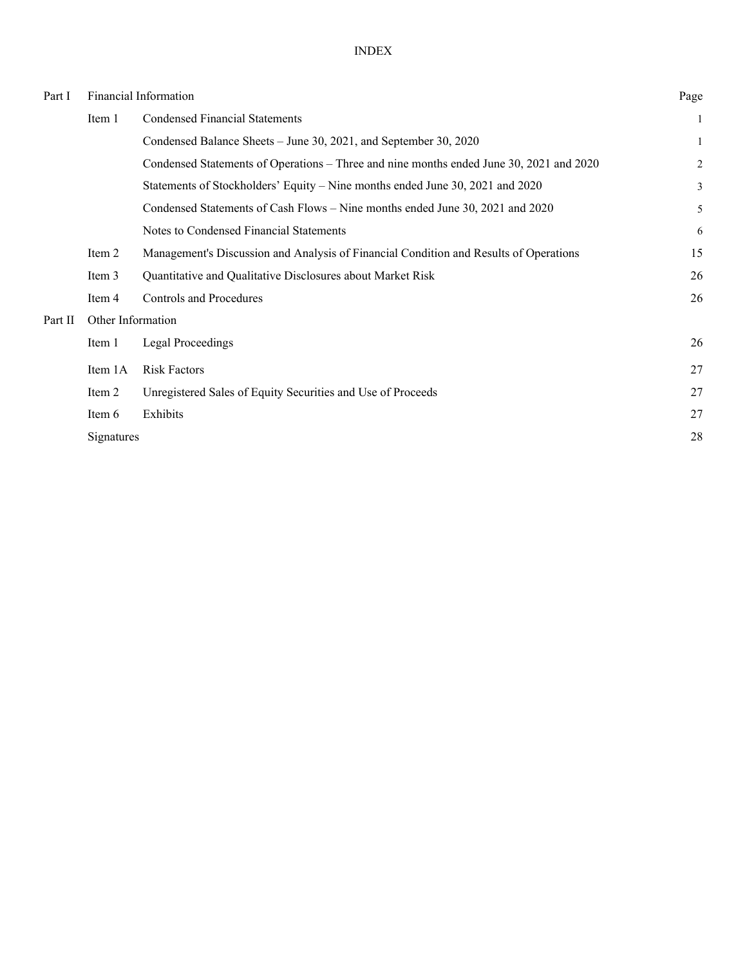# INDEX

| Part I  |                   | Financial Information                                                                   | Page         |
|---------|-------------------|-----------------------------------------------------------------------------------------|--------------|
|         | Item 1            | <b>Condensed Financial Statements</b>                                                   | 1            |
|         |                   | Condensed Balance Sheets - June 30, 2021, and September 30, 2020                        | $\mathbf{1}$ |
|         |                   | Condensed Statements of Operations – Three and nine months ended June 30, 2021 and 2020 | 2            |
|         |                   | Statements of Stockholders' Equity – Nine months ended June 30, 2021 and 2020           | 3            |
|         |                   | Condensed Statements of Cash Flows - Nine months ended June 30, 2021 and 2020           | 5            |
|         |                   | Notes to Condensed Financial Statements                                                 | 6            |
|         | Item 2            | Management's Discussion and Analysis of Financial Condition and Results of Operations   | 15           |
|         | Item 3            | Quantitative and Qualitative Disclosures about Market Risk                              | 26           |
|         | Item 4            | <b>Controls and Procedures</b>                                                          | 26           |
| Part II | Other Information |                                                                                         |              |
|         | Item 1            | Legal Proceedings                                                                       | 26           |
|         | Item 1A           | <b>Risk Factors</b>                                                                     | 27           |
|         | Item 2            | Unregistered Sales of Equity Securities and Use of Proceeds                             | 27           |
|         | Item 6            | Exhibits                                                                                | 27           |
|         | Signatures        |                                                                                         | 28           |
|         |                   |                                                                                         |              |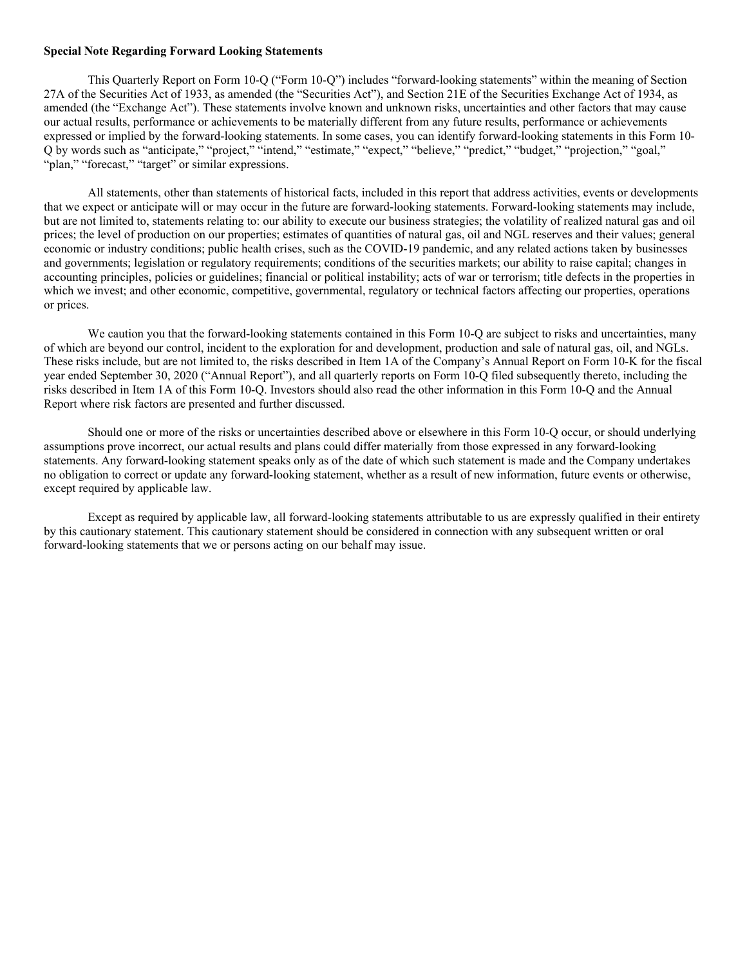### **Special Note Regarding Forward Looking Statements**

This Quarterly Report on Form 10-Q ("Form 10-Q") includes "forward-looking statements" within the meaning of Section 27A of the Securities Act of 1933, as amended (the "Securities Act"), and Section 21E of the Securities Exchange Act of 1934, as amended (the "Exchange Act"). These statements involve known and unknown risks, uncertainties and other factors that may cause our actual results, performance or achievements to be materially different from any future results, performance or achievements expressed or implied by the forward-looking statements. In some cases, you can identify forward-looking statements in this Form 10- Q by words such as "anticipate," "project," "intend," "estimate," "expect," "believe," "predict," "budget," "projection," "goal," "plan," "forecast," "target" or similar expressions.

All statements, other than statements of historical facts, included in this report that address activities, events or developments that we expect or anticipate will or may occur in the future are forward-looking statements. Forward-looking statements may include, but are not limited to, statements relating to: our ability to execute our business strategies; the volatility of realized natural gas and oil prices; the level of production on our properties; estimates of quantities of natural gas, oil and NGL reserves and their values; general economic or industry conditions; public health crises, such as the COVID-19 pandemic, and any related actions taken by businesses and governments; legislation or regulatory requirements; conditions of the securities markets; our ability to raise capital; changes in accounting principles, policies or guidelines; financial or political instability; acts of war or terrorism; title defects in the properties in which we invest; and other economic, competitive, governmental, regulatory or technical factors affecting our properties, operations or prices.

We caution you that the forward-looking statements contained in this Form 10-Q are subject to risks and uncertainties, many of which are beyond our control, incident to the exploration for and development, production and sale of natural gas, oil, and NGLs. These risks include, but are not limited to, the risks described in Item 1A of the Company's Annual Report on Form 10-K for the fiscal year ended September 30, 2020 ("Annual Report"), and all quarterly reports on Form 10-Q filed subsequently thereto, including the risks described in Item 1A of this Form 10-Q. Investors should also read the other information in this Form 10-Q and the Annual Report where risk factors are presented and further discussed.

Should one or more of the risks or uncertainties described above or elsewhere in this Form 10-Q occur, or should underlying assumptions prove incorrect, our actual results and plans could differ materially from those expressed in any forward-looking statements. Any forward-looking statement speaks only as of the date of which such statement is made and the Company undertakes no obligation to correct or update any forward-looking statement, whether as a result of new information, future events or otherwise, except required by applicable law.

Except as required by applicable law, all forward-looking statements attributable to us are expressly qualified in their entirety by this cautionary statement. This cautionary statement should be considered in connection with any subsequent written or oral forward-looking statements that we or persons acting on our behalf may issue.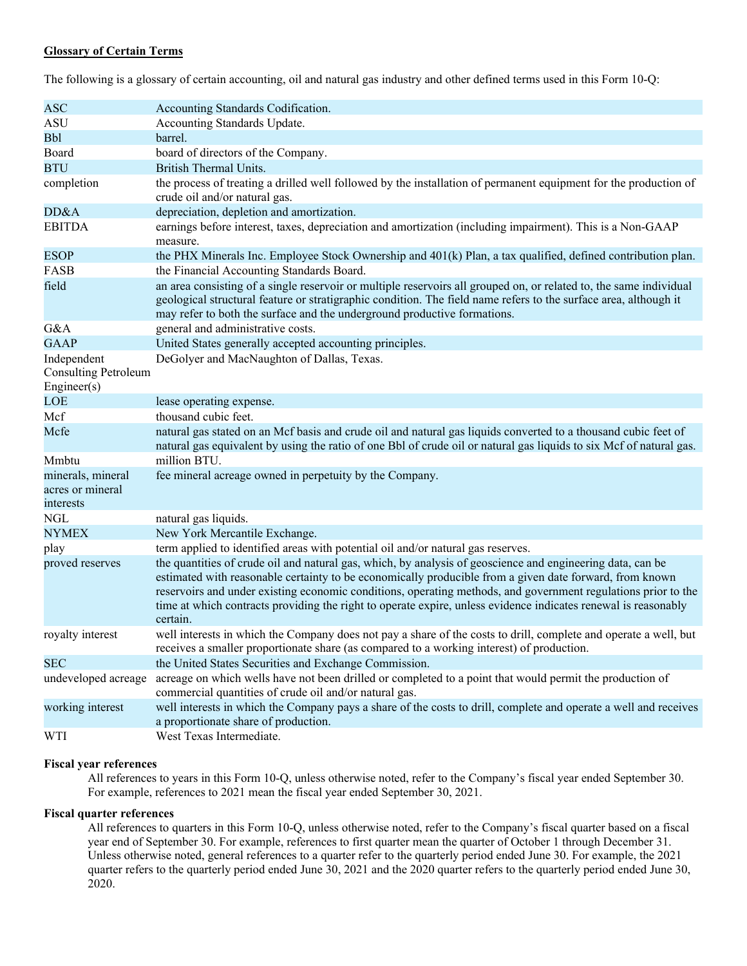# **Glossary of Certain Terms**

The following is a glossary of certain accounting, oil and natural gas industry and other defined terms used in this Form 10-Q:

| <b>ASC</b>                                         | Accounting Standards Codification.                                                                                                                                                                                                                                                                                                                                                                                                                                   |
|----------------------------------------------------|----------------------------------------------------------------------------------------------------------------------------------------------------------------------------------------------------------------------------------------------------------------------------------------------------------------------------------------------------------------------------------------------------------------------------------------------------------------------|
| <b>ASU</b>                                         | Accounting Standards Update.                                                                                                                                                                                                                                                                                                                                                                                                                                         |
| <b>Bbl</b>                                         | barrel.                                                                                                                                                                                                                                                                                                                                                                                                                                                              |
| Board                                              | board of directors of the Company.                                                                                                                                                                                                                                                                                                                                                                                                                                   |
| <b>BTU</b>                                         | British Thermal Units.                                                                                                                                                                                                                                                                                                                                                                                                                                               |
| completion                                         | the process of treating a drilled well followed by the installation of permanent equipment for the production of<br>crude oil and/or natural gas.                                                                                                                                                                                                                                                                                                                    |
| DD&A                                               | depreciation, depletion and amortization.                                                                                                                                                                                                                                                                                                                                                                                                                            |
| <b>EBITDA</b>                                      | earnings before interest, taxes, depreciation and amortization (including impairment). This is a Non-GAAP<br>measure.                                                                                                                                                                                                                                                                                                                                                |
| <b>ESOP</b>                                        | the PHX Minerals Inc. Employee Stock Ownership and 401(k) Plan, a tax qualified, defined contribution plan.                                                                                                                                                                                                                                                                                                                                                          |
| FASB                                               | the Financial Accounting Standards Board.                                                                                                                                                                                                                                                                                                                                                                                                                            |
| field                                              | an area consisting of a single reservoir or multiple reservoirs all grouped on, or related to, the same individual<br>geological structural feature or stratigraphic condition. The field name refers to the surface area, although it<br>may refer to both the surface and the underground productive formations.                                                                                                                                                   |
| G&A                                                | general and administrative costs.                                                                                                                                                                                                                                                                                                                                                                                                                                    |
| <b>GAAP</b>                                        | United States generally accepted accounting principles.                                                                                                                                                                                                                                                                                                                                                                                                              |
| Independent                                        | DeGolyer and MacNaughton of Dallas, Texas.                                                                                                                                                                                                                                                                                                                                                                                                                           |
| <b>Consulting Petroleum</b><br>Engineer(s)         |                                                                                                                                                                                                                                                                                                                                                                                                                                                                      |
| LOE                                                | lease operating expense.                                                                                                                                                                                                                                                                                                                                                                                                                                             |
| Mcf                                                | thousand cubic feet.                                                                                                                                                                                                                                                                                                                                                                                                                                                 |
| Mcfe                                               | natural gas stated on an Mcf basis and crude oil and natural gas liquids converted to a thousand cubic feet of<br>natural gas equivalent by using the ratio of one Bbl of crude oil or natural gas liquids to six Mcf of natural gas.                                                                                                                                                                                                                                |
| Mmbtu                                              | million BTU.                                                                                                                                                                                                                                                                                                                                                                                                                                                         |
| minerals, mineral<br>acres or mineral<br>interests | fee mineral acreage owned in perpetuity by the Company.                                                                                                                                                                                                                                                                                                                                                                                                              |
| NGL                                                | natural gas liquids.                                                                                                                                                                                                                                                                                                                                                                                                                                                 |
| <b>NYMEX</b>                                       | New York Mercantile Exchange.                                                                                                                                                                                                                                                                                                                                                                                                                                        |
| play                                               | term applied to identified areas with potential oil and/or natural gas reserves.                                                                                                                                                                                                                                                                                                                                                                                     |
| proved reserves                                    | the quantities of crude oil and natural gas, which, by analysis of geoscience and engineering data, can be<br>estimated with reasonable certainty to be economically producible from a given date forward, from known<br>reservoirs and under existing economic conditions, operating methods, and government regulations prior to the<br>time at which contracts providing the right to operate expire, unless evidence indicates renewal is reasonably<br>certain. |
| royalty interest                                   | well interests in which the Company does not pay a share of the costs to drill, complete and operate a well, but<br>receives a smaller proportionate share (as compared to a working interest) of production.                                                                                                                                                                                                                                                        |
| <b>SEC</b>                                         | the United States Securities and Exchange Commission.                                                                                                                                                                                                                                                                                                                                                                                                                |
| undeveloped acreage                                | acreage on which wells have not been drilled or completed to a point that would permit the production of<br>commercial quantities of crude oil and/or natural gas.                                                                                                                                                                                                                                                                                                   |
| working interest                                   | well interests in which the Company pays a share of the costs to drill, complete and operate a well and receives<br>a proportionate share of production.                                                                                                                                                                                                                                                                                                             |
| WTI                                                | West Texas Intermediate.                                                                                                                                                                                                                                                                                                                                                                                                                                             |

# **Fiscal year references**

All references to years in this Form 10-Q, unless otherwise noted, refer to the Company's fiscal year ended September 30. For example, references to 2021 mean the fiscal year ended September 30, 2021.

# **Fiscal quarter references**

All references to quarters in this Form 10-Q, unless otherwise noted, refer to the Company's fiscal quarter based on a fiscal year end of September 30. For example, references to first quarter mean the quarter of October 1 through December 31. Unless otherwise noted, general references to a quarter refer to the quarterly period ended June 30. For example, the 2021 quarter refers to the quarterly period ended June 30, 2021 and the 2020 quarter refers to the quarterly period ended June 30, 2020.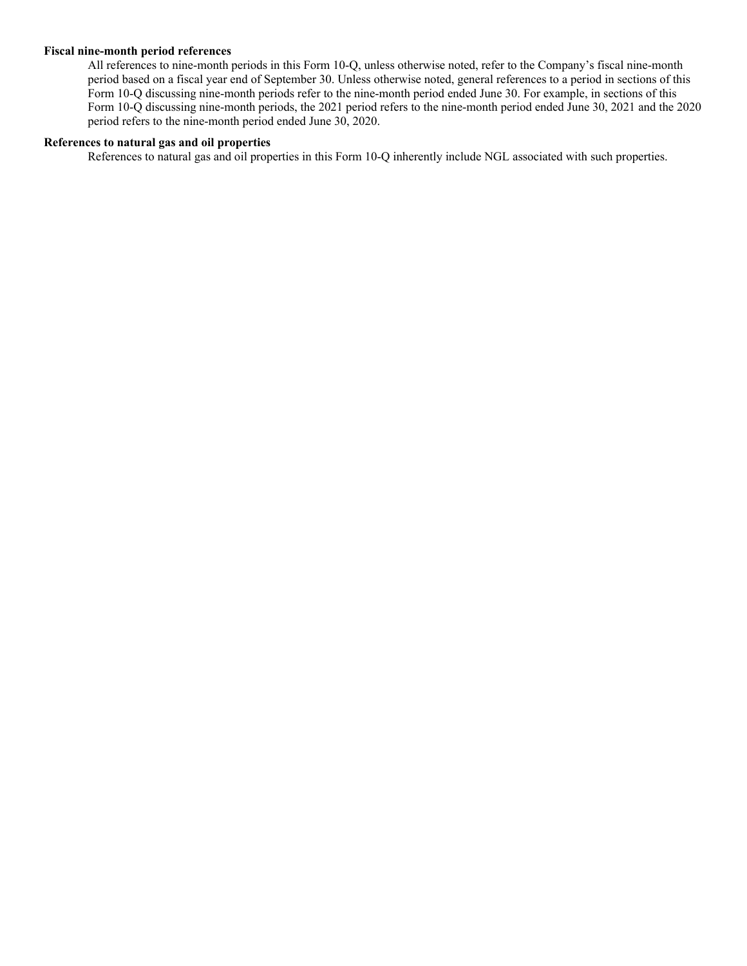# **Fiscal nine-month period references**

All references to nine-month periods in this Form 10-Q, unless otherwise noted, refer to the Company's fiscal nine-month period based on a fiscal year end of September 30. Unless otherwise noted, general references to a period in sections of this Form 10-Q discussing nine-month periods refer to the nine-month period ended June 30. For example, in sections of this Form 10-Q discussing nine-month periods, the 2021 period refers to the nine-month period ended June 30, 2021 and the 2020 period refers to the nine-month period ended June 30, 2020.

# **References to natural gas and oil properties**

References to natural gas and oil properties in this Form 10-Q inherently include NGL associated with such properties.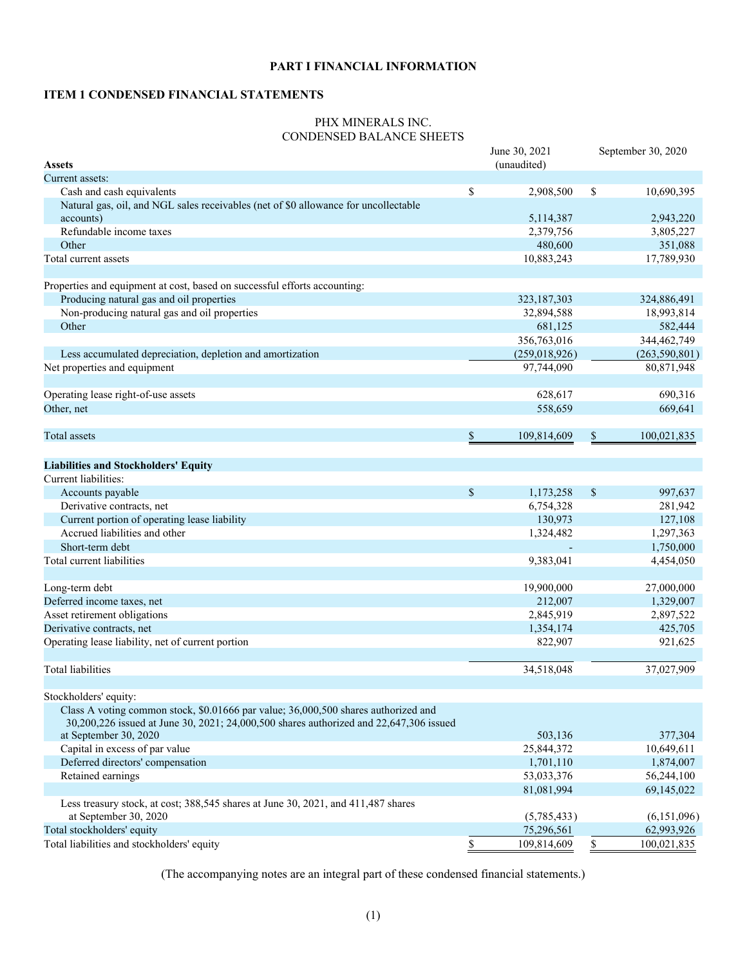# **PART I FINANCIAL INFORMATION**

# **ITEM 1 CONDENSED FINANCIAL STATEMENTS**

# PHX MINERALS INC. CONDENSED BALANCE SHEETS

|                                                                                                                                                                              |               | June 30, 2021   | September 30, 2020 |                      |  |  |
|------------------------------------------------------------------------------------------------------------------------------------------------------------------------------|---------------|-----------------|--------------------|----------------------|--|--|
| <b>Assets</b>                                                                                                                                                                |               | (unaudited)     |                    |                      |  |  |
| Current assets:                                                                                                                                                              |               |                 |                    |                      |  |  |
| Cash and cash equivalents                                                                                                                                                    | \$            | 2,908,500       | \$                 | 10,690,395           |  |  |
| Natural gas, oil, and NGL sales receivables (net of \$0 allowance for uncollectable                                                                                          |               |                 |                    |                      |  |  |
| accounts)                                                                                                                                                                    |               | 5,114,387       |                    | 2,943,220            |  |  |
| Refundable income taxes                                                                                                                                                      |               | 2,379,756       |                    | 3,805,227            |  |  |
| Other                                                                                                                                                                        |               | 480,600         |                    | 351,088              |  |  |
| Total current assets                                                                                                                                                         |               | 10,883,243      |                    | 17,789,930           |  |  |
| Properties and equipment at cost, based on successful efforts accounting:                                                                                                    |               |                 |                    |                      |  |  |
| Producing natural gas and oil properties                                                                                                                                     |               | 323,187,303     |                    | 324,886,491          |  |  |
| Non-producing natural gas and oil properties                                                                                                                                 |               | 32,894,588      |                    | 18,993,814           |  |  |
| Other                                                                                                                                                                        |               | 681,125         |                    | 582,444              |  |  |
|                                                                                                                                                                              |               | 356,763,016     |                    | 344,462,749          |  |  |
| Less accumulated depreciation, depletion and amortization                                                                                                                    |               | (259, 018, 926) |                    | (263, 590, 801)      |  |  |
| Net properties and equipment                                                                                                                                                 |               | 97,744,090      |                    | 80,871,948           |  |  |
|                                                                                                                                                                              |               |                 |                    |                      |  |  |
| Operating lease right-of-use assets                                                                                                                                          |               | 628,617         |                    | 690,316              |  |  |
| Other, net                                                                                                                                                                   |               | 558,659         |                    | 669,641              |  |  |
|                                                                                                                                                                              |               |                 |                    |                      |  |  |
| <b>Total</b> assets                                                                                                                                                          | \$            | 109,814,609     | \$                 | 100,021,835          |  |  |
| <b>Liabilities and Stockholders' Equity</b>                                                                                                                                  |               |                 |                    |                      |  |  |
| Current liabilities:                                                                                                                                                         |               |                 |                    |                      |  |  |
|                                                                                                                                                                              | \$            |                 | $\mathcal{S}$      | 997,637              |  |  |
| Accounts payable                                                                                                                                                             |               | 1,173,258       |                    |                      |  |  |
| Derivative contracts, net                                                                                                                                                    |               | 6,754,328       |                    | 281,942              |  |  |
| Current portion of operating lease liability                                                                                                                                 |               | 130,973         |                    | 127,108              |  |  |
| Accrued liabilities and other                                                                                                                                                |               | 1,324,482       |                    | 1,297,363            |  |  |
| Short-term debt                                                                                                                                                              |               |                 |                    | 1,750,000            |  |  |
| Total current liabilities                                                                                                                                                    |               | 9,383,041       |                    | 4,454,050            |  |  |
|                                                                                                                                                                              |               | 19,900,000      |                    |                      |  |  |
| Long-term debt                                                                                                                                                               |               |                 |                    | 27,000,000           |  |  |
| Deferred income taxes, net                                                                                                                                                   |               | 212,007         |                    | 1,329,007            |  |  |
| Asset retirement obligations<br>Derivative contracts, net                                                                                                                    |               | 2,845,919       |                    | 2,897,522<br>425,705 |  |  |
|                                                                                                                                                                              |               | 1,354,174       |                    |                      |  |  |
| Operating lease liability, net of current portion                                                                                                                            |               | 822,907         |                    | 921,625              |  |  |
| <b>Total liabilities</b>                                                                                                                                                     |               | 34,518,048      |                    | 37,027,909           |  |  |
|                                                                                                                                                                              |               |                 |                    |                      |  |  |
| Stockholders' equity:                                                                                                                                                        |               |                 |                    |                      |  |  |
| Class A voting common stock, \$0.01666 par value; 36,000,500 shares authorized and<br>30,200,226 issued at June 30, 2021; 24,000,500 shares authorized and 22,647,306 issued |               |                 |                    |                      |  |  |
| at September 30, 2020                                                                                                                                                        |               | 503,136         |                    | 377,304              |  |  |
| Capital in excess of par value                                                                                                                                               |               | 25,844,372      |                    | 10,649,611           |  |  |
| Deferred directors' compensation                                                                                                                                             |               | 1,701,110       |                    | 1,874,007            |  |  |
| Retained earnings                                                                                                                                                            |               | 53,033,376      |                    | 56,244,100           |  |  |
|                                                                                                                                                                              |               | 81,081,994      |                    | 69,145,022           |  |  |
| Less treasury stock, at cost; 388,545 shares at June 30, 2021, and 411,487 shares<br>at September 30, 2020                                                                   |               | (5,785,433)     |                    | (6, 151, 096)        |  |  |
| Total stockholders' equity                                                                                                                                                   |               | 75,296,561      |                    | 62,993,926           |  |  |
| Total liabilities and stockholders' equity                                                                                                                                   | $\frac{1}{2}$ | 109,814,609     | \$                 | 100,021,835          |  |  |
|                                                                                                                                                                              |               |                 |                    |                      |  |  |

(The accompanying notes are an integral part of these condensed financial statements.)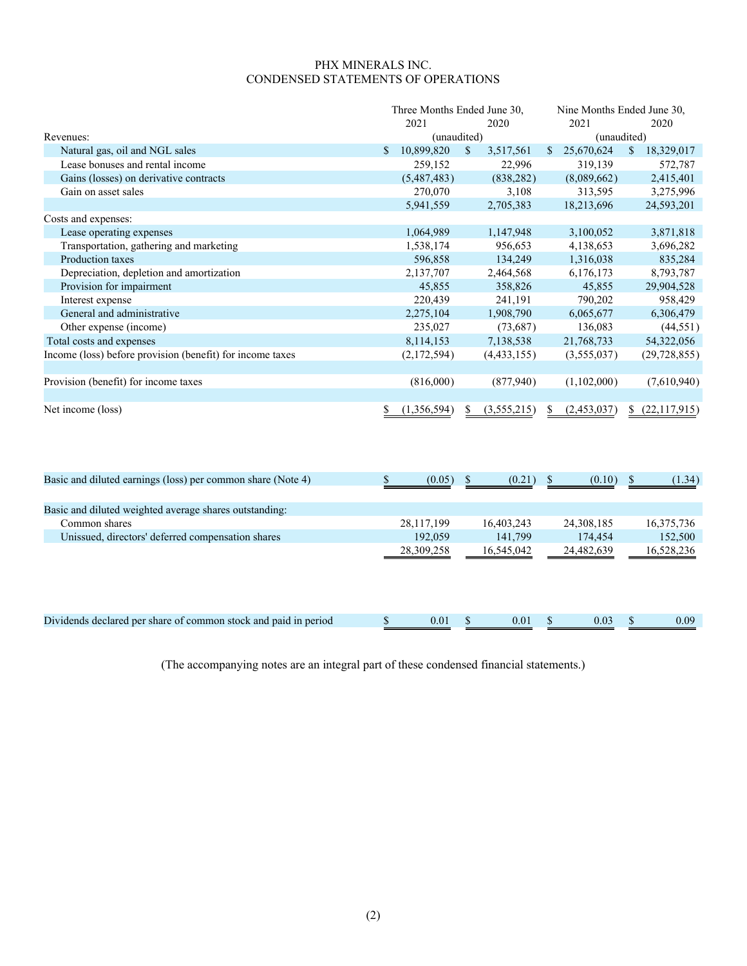# PHX MINERALS INC. CONDENSED STATEMENTS OF OPERATIONS

|                                                           |               | Three Months Ended June 30, |               |               |    | Nine Months Ended June 30, |               |                |  |
|-----------------------------------------------------------|---------------|-----------------------------|---------------|---------------|----|----------------------------|---------------|----------------|--|
|                                                           |               | 2021                        |               | 2020          |    | 2021                       |               | 2020           |  |
| Revenues:                                                 |               |                             | (unaudited)   |               |    | (unaudited)                |               |                |  |
| Natural gas, oil and NGL sales                            | $\mathcal{S}$ | 10,899,820                  | <sup>\$</sup> | 3,517,561     | \$ | 25,670,624                 | $\mathcal{S}$ | 18,329,017     |  |
| Lease bonuses and rental income                           |               | 259,152                     |               | 22,996        |    | 319,139                    |               | 572,787        |  |
| Gains (losses) on derivative contracts                    |               | (5,487,483)                 |               | (838, 282)    |    | (8,089,662)                |               | 2,415,401      |  |
| Gain on asset sales                                       |               | 270,070                     |               | 3,108         |    | 313,595                    |               | 3,275,996      |  |
|                                                           |               | 5,941,559                   |               | 2,705,383     |    | 18,213,696                 |               | 24,593,201     |  |
| Costs and expenses:                                       |               |                             |               |               |    |                            |               |                |  |
| Lease operating expenses                                  |               | 1,064,989                   |               | 1,147,948     |    | 3,100,052                  |               | 3,871,818      |  |
| Transportation, gathering and marketing                   |               | 1,538,174                   |               | 956,653       |    | 4,138,653                  |               | 3,696,282      |  |
| Production taxes                                          |               | 596,858                     |               | 134,249       |    | 1,316,038                  |               | 835,284        |  |
| Depreciation, depletion and amortization                  |               | 2,137,707                   |               | 2,464,568     |    | 6,176,173                  |               | 8,793,787      |  |
| Provision for impairment                                  |               | 45,855                      |               | 358,826       |    | 45,855                     |               | 29,904,528     |  |
| Interest expense                                          |               | 220,439                     |               | 241,191       |    | 790,202                    |               | 958,429        |  |
| General and administrative                                |               | 2,275,104                   |               | 1,908,790     |    | 6,065,677                  |               | 6,306,479      |  |
| Other expense (income)                                    |               | 235,027                     |               | (73, 687)     |    | 136,083                    |               | (44, 551)      |  |
| Total costs and expenses                                  |               | 8,114,153                   |               | 7,138,538     |    | 21,768,733                 |               | 54,322,056     |  |
| Income (loss) before provision (benefit) for income taxes |               | (2,172,594)                 |               | (4, 433, 155) |    | (3,555,037)                |               | (29, 728, 855) |  |
|                                                           |               |                             |               |               |    |                            |               |                |  |
| Provision (benefit) for income taxes                      |               | (816,000)                   |               | (877, 940)    |    | (1,102,000)                |               | (7,610,940)    |  |
|                                                           |               |                             |               |               |    |                            |               |                |  |
| Net income (loss)                                         |               | (1,356,594)                 | \$            | (3,555,215)   | \$ | (2,453,037)                | \$.           | (22,117,915)   |  |
|                                                           |               |                             |               |               |    |                            |               |                |  |
|                                                           |               |                             |               |               |    |                            |               |                |  |
|                                                           |               |                             |               |               |    |                            |               |                |  |
|                                                           |               |                             |               |               |    |                            |               |                |  |

| Basic and diluted earnings (loss) per common share (Note 4)     | (0.05)       | (0.21)     | (0.10)     | (1.34)     |
|-----------------------------------------------------------------|--------------|------------|------------|------------|
| Basic and diluted weighted average shares outstanding:          |              |            |            |            |
| Common shares                                                   | 28, 117, 199 | 16,403,243 | 24,308,185 | 16,375,736 |
| Unissued, directors' deferred compensation shares               | 192,059      | 141,799    | 174,454    | 152,500    |
|                                                                 | 28,309,258   | 16,545,042 | 24,482,639 | 16,528,236 |
|                                                                 |              |            |            |            |
|                                                                 |              |            |            |            |
|                                                                 |              |            |            |            |
| Dividends declared per share of common stock and paid in period | 0.01         | 0.01       | 0.03       | 0.09       |

(The accompanying notes are an integral part of these condensed financial statements.)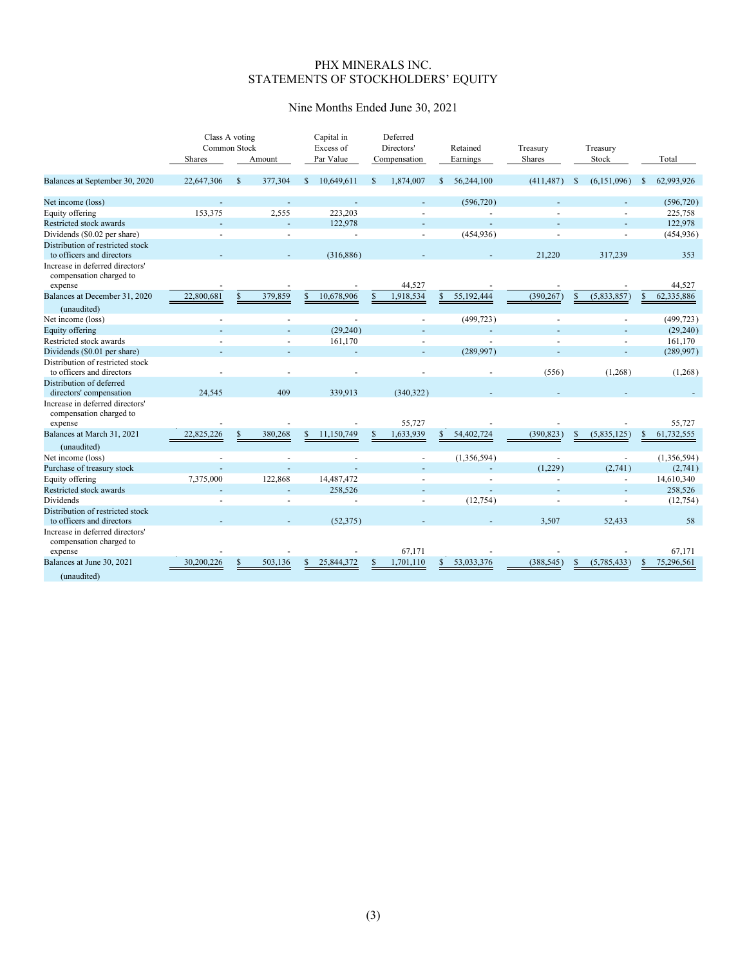# PHX MINERALS INC. STATEMENTS OF STOCKHOLDERS' EQUITY

# Nine Months Ended June 30, 2021

|                                                               | Common Stock | Class A voting |         | Capital in<br>Excess of | Deferred<br>Directors' | Retained             |            | Treasury       |   | Treasury                 |             |
|---------------------------------------------------------------|--------------|----------------|---------|-------------------------|------------------------|----------------------|------------|----------------|---|--------------------------|-------------|
|                                                               | Shares       |                | Amount  | Par Value               | Compensation           | Earnings             | Shares     |                |   | Stock                    | Total       |
| Balances at September 30, 2020                                | 22,647,306   | $\mathbb{S}$   | 377,304 | 10.649.611              | \$<br>1,874,007        | \$<br>56,244,100     | (411, 487) |                | S | (6, 151, 096)            | 62,993,926  |
| Net income (loss)                                             |              |                |         |                         |                        | (596, 720)           |            |                |   |                          | (596, 720)  |
| Equity offering                                               | 153,375      |                | 2,555   | 223,203                 |                        | $\ddot{\phantom{1}}$ |            |                |   |                          | 225,758     |
| Restricted stock awards                                       |              |                |         | 122,978                 |                        |                      |            |                |   |                          | 122,978     |
| Dividends (\$0.02 per share)                                  |              |                |         |                         |                        | (454, 936)           |            |                |   |                          | (454, 936)  |
| Distribution of restricted stock                              |              |                |         |                         |                        |                      |            |                |   |                          |             |
| to officers and directors                                     |              |                |         | (316, 886)              |                        |                      |            | 21,220         |   | 317,239                  | 353         |
| Increase in deferred directors'<br>compensation charged to    |              |                |         |                         |                        |                      |            |                |   |                          |             |
| expense                                                       |              |                |         |                         | 44,527                 |                      |            |                |   |                          | 44,527      |
| Balances at December 31, 2020                                 | 22,800,681   |                | 379,859 | 10,678,906              | 1,918,534              | 55,192,444           | (390, 267) |                |   | (5,833,857)              | 62,335,886  |
| (unaudited)                                                   |              |                |         |                         |                        |                      |            |                |   |                          |             |
| Net income (loss)                                             |              |                |         |                         |                        | (499, 723)           |            |                |   |                          | (499, 723)  |
| Equity offering                                               |              |                |         | (29.240)                |                        |                      |            |                |   |                          | (29, 240)   |
| Restricted stock awards                                       |              |                |         | 161,170                 |                        |                      |            |                |   |                          | 161,170     |
| Dividends (\$0.01 per share)                                  |              |                |         |                         |                        | (289,997)            |            |                |   |                          | (289,997)   |
| Distribution of restricted stock<br>to officers and directors |              |                |         |                         |                        |                      |            | (556)          |   | (1,268)                  | (1,268)     |
| Distribution of deferred                                      |              |                |         |                         |                        |                      |            |                |   |                          |             |
| directors' compensation                                       | 24,545       |                | 409     | 339,913                 | (340, 322)             |                      |            |                |   |                          |             |
| Increase in deferred directors'<br>compensation charged to    |              |                |         |                         |                        |                      |            |                |   |                          |             |
| expense                                                       |              |                |         |                         | 55,727                 |                      |            |                |   |                          | 55,727      |
| Balances at March 31, 2021<br>(unaudited)                     | 22,825,226   | <b>S</b>       | 380,268 | 11,150,749              | 1,633,939              | 54,402,724           | (390, 823) |                |   | (5,835,125)              | 61,732,555  |
| Net income (loss)                                             |              |                |         |                         | $\sim$                 | (1,356,594)          |            |                |   |                          | (1,356,594) |
| Purchase of treasury stock                                    |              |                |         |                         |                        |                      |            | (1,229)        |   | (2,741)                  | (2,741)     |
| Equity offering                                               | 7,375,000    |                | 122,868 | 14,487,472              | $\overline{a}$         |                      |            | $\overline{a}$ |   | $\overline{\phantom{a}}$ | 14,610,340  |
| Restricted stock awards                                       |              |                |         | 258,526                 |                        |                      |            | ÷.             |   | ÷.                       | 258,526     |
| Dividends                                                     |              |                |         |                         |                        | (12,754)             |            |                |   |                          | (12,754)    |
| Distribution of restricted stock                              |              |                |         |                         |                        |                      |            |                |   |                          |             |
| to officers and directors                                     |              |                |         | (52, 375)               |                        |                      |            | 3,507          |   | 52,433                   | 58          |
| Increase in deferred directors'<br>compensation charged to    |              |                |         |                         |                        |                      |            |                |   |                          |             |
| expense                                                       |              |                |         |                         | 67,171                 |                      |            |                |   |                          | 67,171      |
| Balances at June 30, 2021                                     | 30,200,226   |                | 503,136 | 25,844,372              | 1,701,110              | 53,033,376           | (388, 545) |                |   | (5,785,433)              | 75,296,561  |

(unaudited)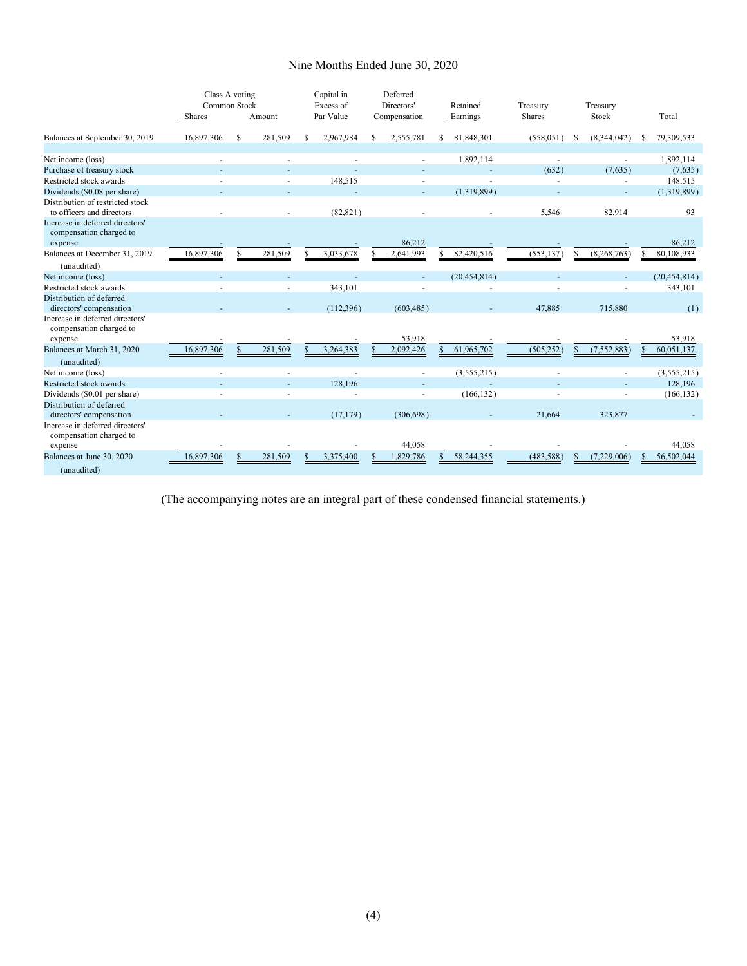# Nine Months Ended June 30, 2020

|                                                                       | Class A voting<br>Common Stock<br>Shares |   | Amount  | Capital in<br>Excess of<br>Par Value |   | Deferred<br>Directors'<br>Compensation |    | Retained<br>Earnings | Treasury<br>Shares | Treasury<br>Stock |                |   | Total          |
|-----------------------------------------------------------------------|------------------------------------------|---|---------|--------------------------------------|---|----------------------------------------|----|----------------------|--------------------|-------------------|----------------|---|----------------|
| Balances at September 30, 2019                                        | 16,897,306                               | S | 281,509 | 2,967,984                            | S | 2,555,781                              | \$ | 81,848,301           | (558, 051)         | S                 | (8,344,042)    | S | 79,309,533     |
| Net income (loss)                                                     |                                          |   |         |                                      |   |                                        |    | 1,892,114            |                    |                   | $\sim$         |   | 1,892,114      |
| Purchase of treasury stock                                            |                                          |   |         |                                      |   |                                        |    |                      | (632)              |                   | (7,635)        |   | (7,635)        |
| Restricted stock awards                                               |                                          |   |         | 148,515                              |   |                                        |    |                      |                    |                   | $\blacksquare$ |   | 148,515        |
| Dividends (\$0.08 per share)                                          |                                          |   |         |                                      |   |                                        |    | (1,319,899)          |                    |                   |                |   | (1,319,899)    |
| Distribution of restricted stock<br>to officers and directors         |                                          |   |         | (82, 821)                            |   |                                        |    |                      | 5,546              |                   | 82,914         |   | 93             |
| Increase in deferred directors'<br>compensation charged to            |                                          |   |         |                                      |   |                                        |    |                      |                    |                   |                |   |                |
| expense                                                               |                                          |   |         |                                      |   | 86,212                                 |    |                      |                    |                   |                |   | 86,212         |
| Balances at December 31, 2019                                         | 16,897,306                               |   | 281,509 | 3,033,678                            |   | 2,641,993                              |    | 82,420,516           | (553, 137)         |                   | (8, 268, 763)  |   | 80,108,933     |
| (unaudited)                                                           |                                          |   |         |                                      |   |                                        |    |                      |                    |                   |                |   |                |
| Net income (loss)                                                     |                                          |   |         |                                      |   |                                        |    | (20, 454, 814)       |                    |                   |                |   | (20, 454, 814) |
| Restricted stock awards                                               |                                          |   |         | 343,101                              |   |                                        |    |                      |                    |                   |                |   | 343,101        |
| Distribution of deferred<br>directors' compensation                   |                                          |   |         | (112,396)                            |   | (603, 485)                             |    |                      | 47,885             |                   | 715,880        |   | (1)            |
| Increase in deferred directors'<br>compensation charged to<br>expense |                                          |   |         |                                      |   | 53,918                                 |    |                      |                    |                   |                |   | 53,918         |
| Balances at March 31, 2020                                            | 16,897,306                               | S | 281,509 | 3,264,383                            |   | 2,092,426                              | S. | 61.965.702           | (505, 252)         | S                 | (7, 552, 883)  |   | 60,051,137     |
| (unaudited)                                                           |                                          |   |         |                                      |   |                                        |    |                      |                    |                   |                |   |                |
| Net income (loss)                                                     |                                          |   |         |                                      |   |                                        |    | (3,555,215)          |                    |                   |                |   | (3,555,215)    |
| Restricted stock awards                                               |                                          |   |         | 128,196                              |   |                                        |    |                      |                    |                   |                |   | 128,196        |
| Dividends (\$0.01 per share)                                          |                                          |   |         |                                      |   |                                        |    | (166, 132)           |                    |                   |                |   | (166, 132)     |
| Distribution of deferred<br>directors' compensation                   |                                          |   |         | (17, 179)                            |   | (306, 698)                             |    |                      | 21,664             |                   | 323,877        |   |                |
| Increase in deferred directors'<br>compensation charged to<br>expense |                                          |   |         |                                      |   | 44,058                                 |    |                      |                    |                   |                |   | 44,058         |
| Balances at June 30, 2020                                             | 16,897,306                               |   | 281,509 | 3,375,400                            |   | 1,829,786                              |    | 58,244,355           | (483.588)          |                   | (7, 229, 006)  |   | 56,502,044     |
| (unaudited)                                                           |                                          |   |         |                                      |   |                                        |    |                      |                    |                   |                |   |                |

(The accompanying notes are an integral part of these condensed financial statements.)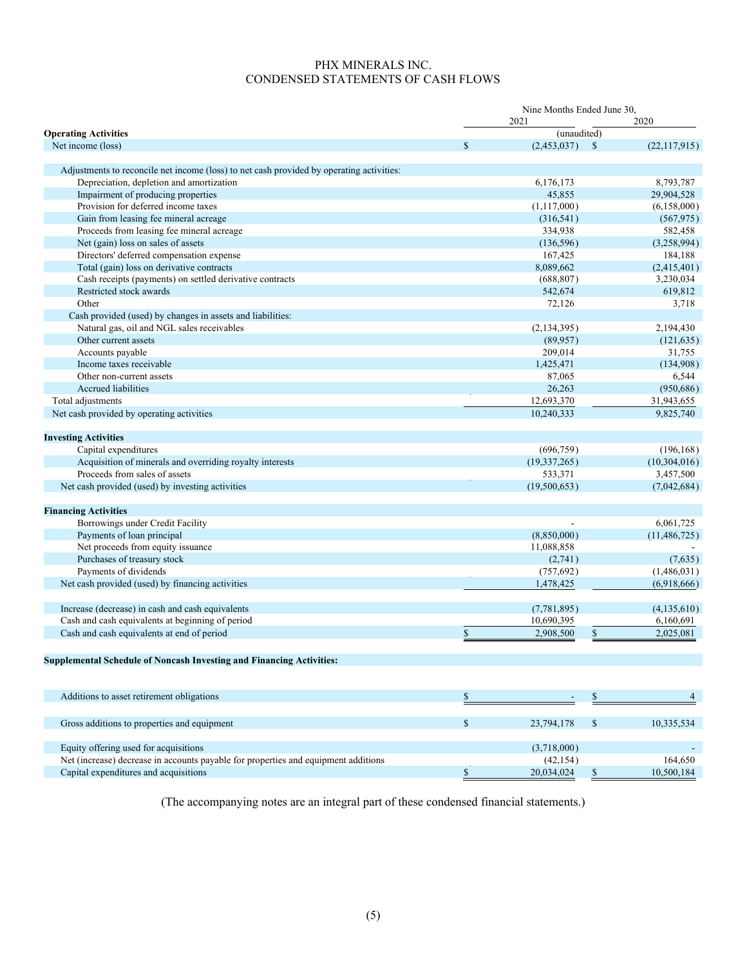# PHX MINERALS INC. CONDENSED STATEMENTS OF CASH FLOWS

|                                                                                          |               | Nine Months Ended June 30,  |  |                |  |  |  |  |
|------------------------------------------------------------------------------------------|---------------|-----------------------------|--|----------------|--|--|--|--|
|                                                                                          |               | 2021                        |  | 2020           |  |  |  |  |
| <b>Operating Activities</b>                                                              |               | (unaudited)                 |  |                |  |  |  |  |
| Net income (loss)                                                                        | \$            | (2,453,037)<br>$\mathbb{S}$ |  | (22, 117, 915) |  |  |  |  |
|                                                                                          |               |                             |  |                |  |  |  |  |
| Adjustments to reconcile net income (loss) to net cash provided by operating activities: |               |                             |  |                |  |  |  |  |
| Depreciation, depletion and amortization                                                 |               | 6,176,173                   |  | 8,793,787      |  |  |  |  |
| Impairment of producing properties                                                       |               | 45,855                      |  | 29,904,528     |  |  |  |  |
| Provision for deferred income taxes                                                      |               | (1,117,000)                 |  | (6,158,000)    |  |  |  |  |
| Gain from leasing fee mineral acreage                                                    |               | (316, 541)                  |  | (567, 975)     |  |  |  |  |
| Proceeds from leasing fee mineral acreage                                                |               | 334,938                     |  | 582,458        |  |  |  |  |
| Net (gain) loss on sales of assets                                                       |               | (136, 596)                  |  | (3,258,994)    |  |  |  |  |
| Directors' deferred compensation expense                                                 |               | 167,425                     |  | 184,188        |  |  |  |  |
| Total (gain) loss on derivative contracts                                                |               | 8,089,662                   |  | (2,415,401)    |  |  |  |  |
| Cash receipts (payments) on settled derivative contracts                                 |               | (688, 807)                  |  | 3,230,034      |  |  |  |  |
| Restricted stock awards                                                                  |               | 542,674                     |  | 619,812        |  |  |  |  |
| Other                                                                                    |               | 72,126                      |  | 3,718          |  |  |  |  |
| Cash provided (used) by changes in assets and liabilities:                               |               |                             |  |                |  |  |  |  |
| Natural gas, oil and NGL sales receivables                                               |               | (2, 134, 395)               |  | 2,194,430      |  |  |  |  |
| Other current assets                                                                     |               | (89,957)                    |  | (121, 635)     |  |  |  |  |
| Accounts payable                                                                         |               | 209,014                     |  | 31,755         |  |  |  |  |
| Income taxes receivable                                                                  |               | 1,425,471                   |  | (134,908)      |  |  |  |  |
| Other non-current assets                                                                 |               | 87,065                      |  | 6,544          |  |  |  |  |
| Accrued liabilities                                                                      |               | 26.263                      |  | (950, 686)     |  |  |  |  |
| Total adjustments                                                                        |               | 12,693,370                  |  | 31,943,655     |  |  |  |  |
| Net cash provided by operating activities                                                |               | 10,240,333                  |  | 9,825,740      |  |  |  |  |
|                                                                                          |               |                             |  |                |  |  |  |  |
| <b>Investing Activities</b>                                                              |               |                             |  |                |  |  |  |  |
| Capital expenditures                                                                     |               | (696, 759)                  |  | (196, 168)     |  |  |  |  |
| Acquisition of minerals and overriding royalty interests                                 |               | (19, 337, 265)              |  | (10,304,016)   |  |  |  |  |
| Proceeds from sales of assets                                                            |               | 533,371                     |  | 3,457,500      |  |  |  |  |
| Net cash provided (used) by investing activities                                         |               | (19,500,653)                |  | (7,042,684)    |  |  |  |  |
|                                                                                          |               |                             |  |                |  |  |  |  |
| <b>Financing Activities</b>                                                              |               |                             |  |                |  |  |  |  |
| Borrowings under Credit Facility                                                         |               |                             |  | 6,061,725      |  |  |  |  |
| Payments of loan principal                                                               |               | (8,850,000)                 |  | (11, 486, 725) |  |  |  |  |
| Net proceeds from equity issuance                                                        |               | 11,088,858                  |  |                |  |  |  |  |
| Purchases of treasury stock                                                              |               | (2,741)                     |  | (7,635)        |  |  |  |  |
| Payments of dividends                                                                    |               | (757, 692)                  |  | (1,486,031)    |  |  |  |  |
| Net cash provided (used) by financing activities                                         |               | 1,478,425                   |  | (6,918,666)    |  |  |  |  |
|                                                                                          |               |                             |  |                |  |  |  |  |
| Increase (decrease) in cash and cash equivalents                                         |               | (7, 781, 895)               |  | (4,135,610)    |  |  |  |  |
| Cash and cash equivalents at beginning of period                                         |               | 10,690,395                  |  | 6,160,691      |  |  |  |  |
| Cash and cash equivalents at end of period                                               | \$            | 2,908,500<br>\$             |  | 2,025,081      |  |  |  |  |
|                                                                                          |               |                             |  |                |  |  |  |  |
|                                                                                          |               |                             |  |                |  |  |  |  |
| <b>Supplemental Schedule of Noncash Investing and Financing Activities:</b>              |               |                             |  |                |  |  |  |  |
| Additions to asset retirement obligations                                                | \$            | \$                          |  | 4              |  |  |  |  |
|                                                                                          |               |                             |  |                |  |  |  |  |
| Gross additions to properties and equipment                                              | \$            | 23,794,178<br>$\mathbb{S}$  |  | 10,335,534     |  |  |  |  |
| Equity offering used for acquisitions                                                    |               | (3,718,000)                 |  |                |  |  |  |  |
| Net (increase) decrease in accounts payable for properties and equipment additions       |               | (42, 154)                   |  | 164,650        |  |  |  |  |
| Capital expenditures and acquisitions                                                    | $\mathcal{S}$ | 20,034,024<br>$\mathbb{S}$  |  | 10,500,184     |  |  |  |  |

(The accompanying notes are an integral part of these condensed financial statements.)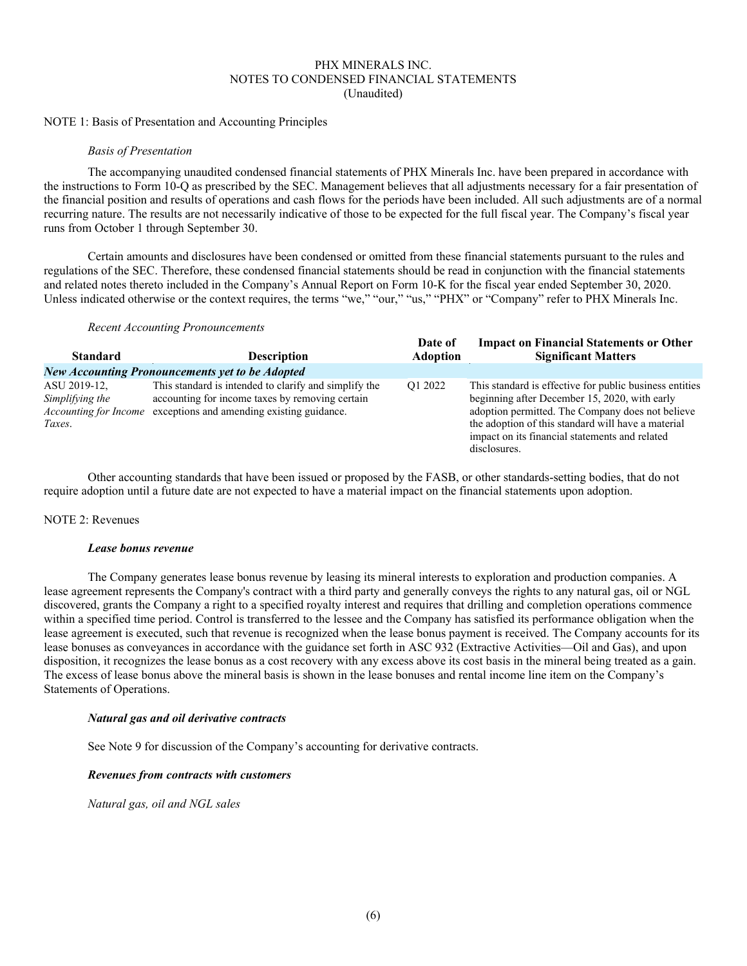## PHX MINERALS INC. NOTES TO CONDENSED FINANCIAL STATEMENTS (Unaudited)

## NOTE 1: Basis of Presentation and Accounting Principles

#### *Basis of Presentation*

The accompanying unaudited condensed financial statements of PHX Minerals Inc. have been prepared in accordance with the instructions to Form 10-Q as prescribed by the SEC. Management believes that all adjustments necessary for a fair presentation of the financial position and results of operations and cash flows for the periods have been included. All such adjustments are of a normal recurring nature. The results are not necessarily indicative of those to be expected for the full fiscal year. The Company's fiscal year runs from October 1 through September 30.

Certain amounts and disclosures have been condensed or omitted from these financial statements pursuant to the rules and regulations of the SEC. Therefore, these condensed financial statements should be read in conjunction with the financial statements and related notes thereto included in the Company's Annual Report on Form 10-K for the fiscal year ended September 30, 2020. Unless indicated otherwise or the context requires, the terms "we," "our," "us," "PHX" or "Company" refer to PHX Minerals Inc.

#### *Recent Accounting Pronouncements*

| <b>Standard</b>                           | <b>Description</b>                                                                                                                                                                  | Date of<br><b>Adoption</b> | <b>Impact on Financial Statements or Other</b><br><b>Significant Matters</b>                                                                                                                                                                                                         |
|-------------------------------------------|-------------------------------------------------------------------------------------------------------------------------------------------------------------------------------------|----------------------------|--------------------------------------------------------------------------------------------------------------------------------------------------------------------------------------------------------------------------------------------------------------------------------------|
|                                           | New Accounting Pronouncements yet to be Adopted                                                                                                                                     |                            |                                                                                                                                                                                                                                                                                      |
| ASU 2019-12,<br>Simplifying the<br>Taxes. | This standard is intended to clarify and simplify the<br>accounting for income taxes by removing certain<br><i>Accounting for Income</i> exceptions and amending existing guidance. | O1 2022                    | This standard is effective for public business entities<br>beginning after December 15, 2020, with early<br>adoption permitted. The Company does not believe<br>the adoption of this standard will have a material<br>impact on its financial statements and related<br>disclosures. |

Other accounting standards that have been issued or proposed by the FASB, or other standards-setting bodies, that do not require adoption until a future date are not expected to have a material impact on the financial statements upon adoption.

# NOTE 2: Revenues

#### *Lease bonus revenue*

The Company generates lease bonus revenue by leasing its mineral interests to exploration and production companies. A lease agreement represents the Company's contract with a third party and generally conveys the rights to any natural gas, oil or NGL discovered, grants the Company a right to a specified royalty interest and requires that drilling and completion operations commence within a specified time period. Control is transferred to the lessee and the Company has satisfied its performance obligation when the lease agreement is executed, such that revenue is recognized when the lease bonus payment is received. The Company accounts for its lease bonuses as conveyances in accordance with the guidance set forth in ASC 932 (Extractive Activities—Oil and Gas), and upon disposition, it recognizes the lease bonus as a cost recovery with any excess above its cost basis in the mineral being treated as a gain. The excess of lease bonus above the mineral basis is shown in the lease bonuses and rental income line item on the Company's Statements of Operations.

### *Natural gas and oil derivative contracts*

See Note 9 for discussion of the Company's accounting for derivative contracts.

### *Revenues from contracts with customers*

*Natural gas, oil and NGL sales*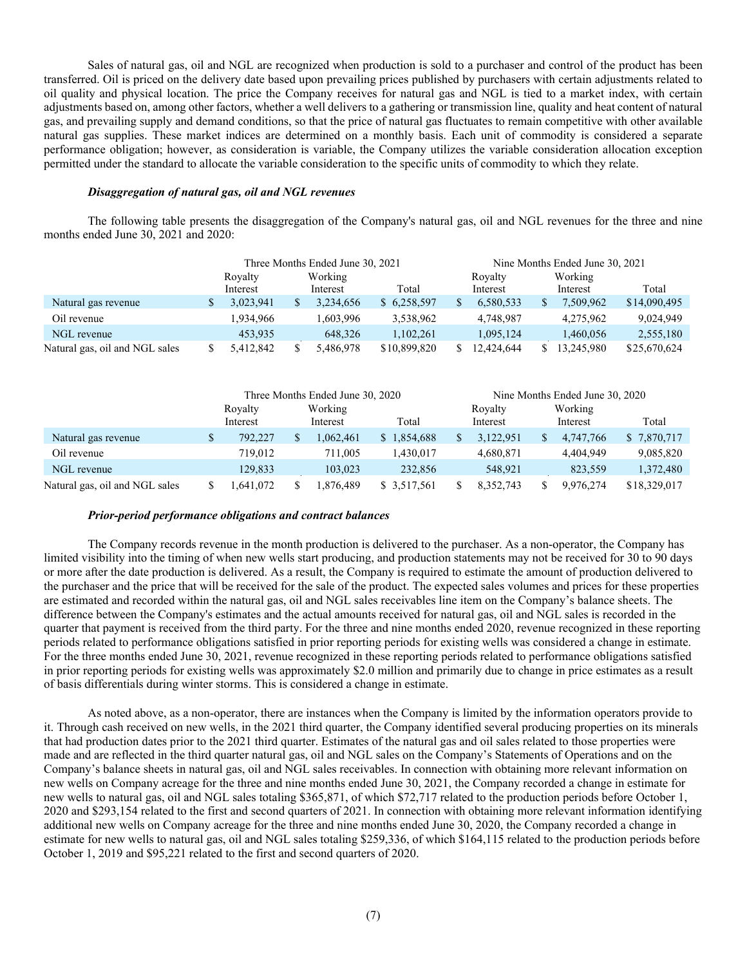Sales of natural gas, oil and NGL are recognized when production is sold to a purchaser and control of the product has been transferred. Oil is priced on the delivery date based upon prevailing prices published by purchasers with certain adjustments related to oil quality and physical location. The price the Company receives for natural gas and NGL is tied to a market index, with certain adjustments based on, among other factors, whether a well delivers to a gathering or transmission line, quality and heat content of natural gas, and prevailing supply and demand conditions, so that the price of natural gas fluctuates to remain competitive with other available natural gas supplies. These market indices are determined on a monthly basis. Each unit of commodity is considered a separate performance obligation; however, as consideration is variable, the Company utilizes the variable consideration allocation exception permitted under the standard to allocate the variable consideration to the specific units of commodity to which they relate.

#### *Disaggregation of natural gas, oil and NGL revenues*

The following table presents the disaggregation of the Company's natural gas, oil and NGL revenues for the three and nine months ended June 30, 2021 and 2020:

|                                |                    |  | Three Months Ended June 30, 2021 |              |    | Nine Months Ended June 30, 2021 |  |            |              |  |  |  |
|--------------------------------|--------------------|--|----------------------------------|--------------|----|---------------------------------|--|------------|--------------|--|--|--|
|                                | Working<br>Royalty |  |                                  |              |    | Royalty                         |  | Working    |              |  |  |  |
|                                | Interest           |  | Interest                         | Total        |    | Interest                        |  | Interest   | Total        |  |  |  |
| Natural gas revenue            | 3.023.941          |  | 3,234,656                        | \$6,258,597  |    | 6,580,533                       |  | 7,509,962  | \$14,090,495 |  |  |  |
| Oil revenue                    | 1.934.966          |  | 1.603.996                        | 3,538,962    |    | 4,748,987                       |  | 4,275,962  | 9,024,949    |  |  |  |
| NGL revenue                    | 453.935            |  | 648,326                          | 1.102.261    |    | 1,095,124                       |  | 1.460.056  | 2,555,180    |  |  |  |
| Natural gas, oil and NGL sales | 5.412.842          |  | 5.486.978                        | \$10,899,820 | S. | 12.424.644                      |  | 13,245,980 | \$25,670,624 |  |  |  |

|                                |                    |  | Three Months Ended June 30, 2020 |              |          | Nine Months Ended June 30, 2020 |  |           |              |  |  |  |
|--------------------------------|--------------------|--|----------------------------------|--------------|----------|---------------------------------|--|-----------|--------------|--|--|--|
|                                | Working<br>Royalty |  |                                  |              |          | Royalty                         |  | Working   |              |  |  |  |
|                                | Interest           |  | Interest                         | Total        | Interest |                                 |  | Interest  | Total        |  |  |  |
| Natural gas revenue            | 792,227            |  | 1.062.461                        | 1,854,688    |          | 3.122.951                       |  | 4,747,766 | \$ 7,870,717 |  |  |  |
| Oil revenue                    | 719.012            |  | 711,005                          | 1.430.017    |          | 4.680.871                       |  | 4.404.949 | 9,085,820    |  |  |  |
| NGL revenue                    | 129,833            |  | 103,023                          | 232,856      |          | 548.921                         |  | 823.559   | 1,372,480    |  |  |  |
| Natural gas, oil and NGL sales | .641.072           |  | .876,489                         | \$ 3,517,561 |          | 8,352,743                       |  | 9.976.274 | \$18,329,017 |  |  |  |

#### *Prior-period performance obligations and contract balances*

The Company records revenue in the month production is delivered to the purchaser. As a non-operator, the Company has limited visibility into the timing of when new wells start producing, and production statements may not be received for 30 to 90 days or more after the date production is delivered. As a result, the Company is required to estimate the amount of production delivered to the purchaser and the price that will be received for the sale of the product. The expected sales volumes and prices for these properties are estimated and recorded within the natural gas, oil and NGL sales receivables line item on the Company's balance sheets. The difference between the Company's estimates and the actual amounts received for natural gas, oil and NGL sales is recorded in the quarter that payment is received from the third party. For the three and nine months ended 2020, revenue recognized in these reporting periods related to performance obligations satisfied in prior reporting periods for existing wells was considered a change in estimate. For the three months ended June 30, 2021, revenue recognized in these reporting periods related to performance obligations satisfied in prior reporting periods for existing wells was approximately \$2.0 million and primarily due to change in price estimates as a result of basis differentials during winter storms. This is considered a change in estimate.

As noted above, as a non-operator, there are instances when the Company is limited by the information operators provide to it. Through cash received on new wells, in the 2021 third quarter, the Company identified several producing properties on its minerals that had production dates prior to the 2021 third quarter. Estimates of the natural gas and oil sales related to those properties were made and are reflected in the third quarter natural gas, oil and NGL sales on the Company's Statements of Operations and on the Company's balance sheets in natural gas, oil and NGL sales receivables. In connection with obtaining more relevant information on new wells on Company acreage for the three and nine months ended June 30, 2021, the Company recorded a change in estimate for new wells to natural gas, oil and NGL sales totaling \$365,871, of which \$72,717 related to the production periods before October 1, 2020 and \$293,154 related to the first and second quarters of 2021. In connection with obtaining more relevant information identifying additional new wells on Company acreage for the three and nine months ended June 30, 2020, the Company recorded a change in estimate for new wells to natural gas, oil and NGL sales totaling \$259,336, of which \$164,115 related to the production periods before October 1, 2019 and \$95,221 related to the first and second quarters of 2020.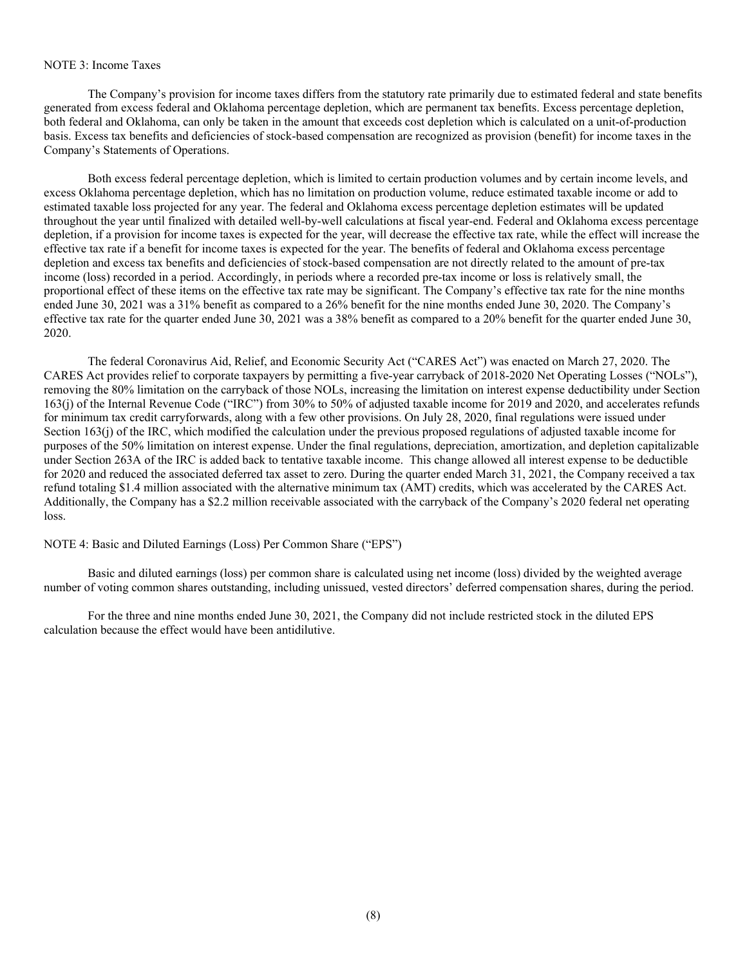#### NOTE 3: Income Taxes

The Company's provision for income taxes differs from the statutory rate primarily due to estimated federal and state benefits generated from excess federal and Oklahoma percentage depletion, which are permanent tax benefits. Excess percentage depletion, both federal and Oklahoma, can only be taken in the amount that exceeds cost depletion which is calculated on a unit-of-production basis. Excess tax benefits and deficiencies of stock-based compensation are recognized as provision (benefit) for income taxes in the Company's Statements of Operations.

Both excess federal percentage depletion, which is limited to certain production volumes and by certain income levels, and excess Oklahoma percentage depletion, which has no limitation on production volume, reduce estimated taxable income or add to estimated taxable loss projected for any year. The federal and Oklahoma excess percentage depletion estimates will be updated throughout the year until finalized with detailed well-by-well calculations at fiscal year-end. Federal and Oklahoma excess percentage depletion, if a provision for income taxes is expected for the year, will decrease the effective tax rate, while the effect will increase the effective tax rate if a benefit for income taxes is expected for the year. The benefits of federal and Oklahoma excess percentage depletion and excess tax benefits and deficiencies of stock-based compensation are not directly related to the amount of pre-tax income (loss) recorded in a period. Accordingly, in periods where a recorded pre-tax income or loss is relatively small, the proportional effect of these items on the effective tax rate may be significant. The Company's effective tax rate for the nine months ended June 30, 2021 was a 31% benefit as compared to a 26% benefit for the nine months ended June 30, 2020. The Company's effective tax rate for the quarter ended June 30, 2021 was a 38% benefit as compared to a 20% benefit for the quarter ended June 30, 2020.

The federal Coronavirus Aid, Relief, and Economic Security Act ("CARES Act") was enacted on March 27, 2020. The CARES Act provides relief to corporate taxpayers by permitting a five-year carryback of 2018-2020 Net Operating Losses ("NOLs"), removing the 80% limitation on the carryback of those NOLs, increasing the limitation on interest expense deductibility under Section 163(j) of the Internal Revenue Code ("IRC") from 30% to 50% of adjusted taxable income for 2019 and 2020, and accelerates refunds for minimum tax credit carryforwards, along with a few other provisions. On July 28, 2020, final regulations were issued under Section 163(j) of the IRC, which modified the calculation under the previous proposed regulations of adjusted taxable income for purposes of the 50% limitation on interest expense. Under the final regulations, depreciation, amortization, and depletion capitalizable under Section 263A of the IRC is added back to tentative taxable income. This change allowed all interest expense to be deductible for 2020 and reduced the associated deferred tax asset to zero. During the quarter ended March 31, 2021, the Company received a tax refund totaling \$1.4 million associated with the alternative minimum tax (AMT) credits, which was accelerated by the CARES Act. Additionally, the Company has a \$2.2 million receivable associated with the carryback of the Company's 2020 federal net operating loss.

#### NOTE 4: Basic and Diluted Earnings (Loss) Per Common Share ("EPS")

Basic and diluted earnings (loss) per common share is calculated using net income (loss) divided by the weighted average number of voting common shares outstanding, including unissued, vested directors' deferred compensation shares, during the period.

For the three and nine months ended June 30, 2021, the Company did not include restricted stock in the diluted EPS calculation because the effect would have been antidilutive.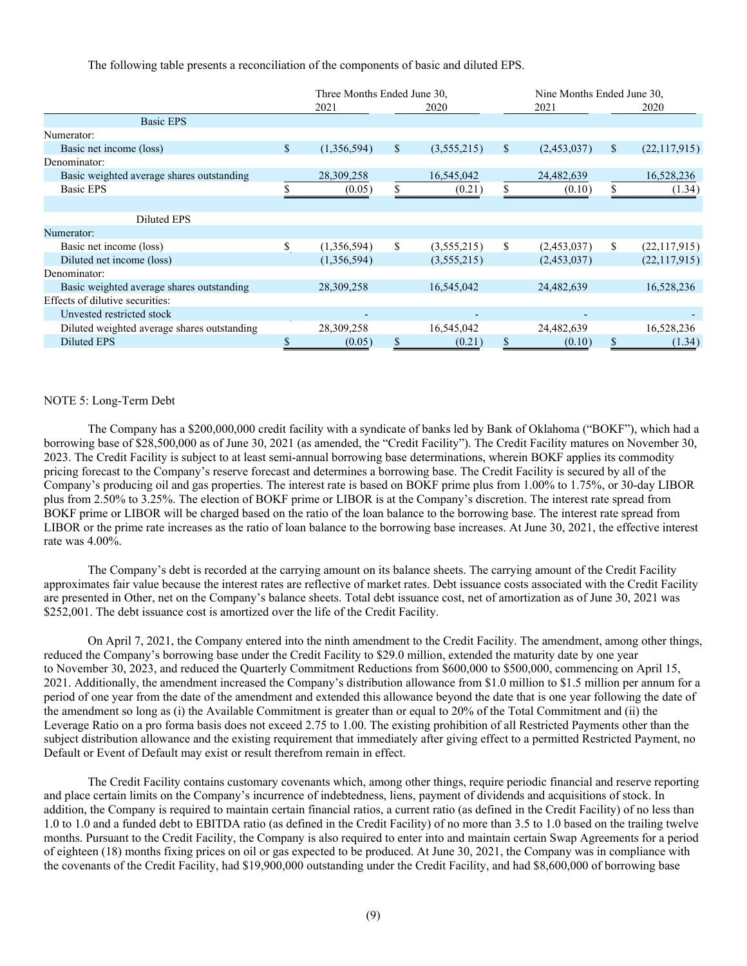The following table presents a reconciliation of the components of basic and diluted EPS.

|                                             |    | Three Months Ended June 30, |      |             | Nine Months Ended June 30, |             |    |                |
|---------------------------------------------|----|-----------------------------|------|-------------|----------------------------|-------------|----|----------------|
|                                             |    | 2021                        | 2020 |             | 2021                       |             |    | 2020           |
| <b>Basic EPS</b>                            |    |                             |      |             |                            |             |    |                |
| Numerator:                                  |    |                             |      |             |                            |             |    |                |
| Basic net income (loss)                     | \$ | (1,356,594)                 | \$   | (3,555,215) | \$                         | (2,453,037) | \$ | (22, 117, 915) |
| Denominator:                                |    |                             |      |             |                            |             |    |                |
| Basic weighted average shares outstanding   |    | 28,309,258                  |      | 16,545,042  |                            | 24,482,639  |    | 16,528,236     |
| Basic EPS                                   |    | (0.05)                      | \$   | (0.21)      | \$                         | (0.10)      |    | (1.34)         |
|                                             |    |                             |      |             |                            |             |    |                |
| Diluted EPS                                 |    |                             |      |             |                            |             |    |                |
| Numerator:                                  |    |                             |      |             |                            |             |    |                |
| Basic net income (loss)                     | \$ | (1,356,594)                 | \$   | (3,555,215) | \$                         | (2,453,037) | \$ | (22,117,915)   |
| Diluted net income (loss)                   |    | (1,356,594)                 |      | (3,555,215) |                            | (2,453,037) |    | (22, 117, 915) |
| Denominator:                                |    |                             |      |             |                            |             |    |                |
| Basic weighted average shares outstanding   |    | 28,309,258                  |      | 16,545,042  |                            | 24,482,639  |    | 16,528,236     |
| Effects of dilutive securities:             |    |                             |      |             |                            |             |    |                |
| Unvested restricted stock                   |    |                             |      |             |                            |             |    |                |
| Diluted weighted average shares outstanding |    | 28,309,258                  |      | 16,545,042  |                            | 24,482,639  |    | 16,528,236     |
| Diluted EPS                                 | S  | (0.05)                      | \$   | (0.21)      | \$                         | (0.10)      | \$ | (1.34)         |

#### NOTE 5: Long-Term Debt

The Company has a \$200,000,000 credit facility with a syndicate of banks led by Bank of Oklahoma ("BOKF"), which had a borrowing base of \$28,500,000 as of June 30, 2021 (as amended, the "Credit Facility"). The Credit Facility matures on November 30, 2023. The Credit Facility is subject to at least semi-annual borrowing base determinations, wherein BOKF applies its commodity pricing forecast to the Company's reserve forecast and determines a borrowing base. The Credit Facility is secured by all of the Company's producing oil and gas properties. The interest rate is based on BOKF prime plus from 1.00% to 1.75%, or 30-day LIBOR plus from 2.50% to 3.25%. The election of BOKF prime or LIBOR is at the Company's discretion. The interest rate spread from BOKF prime or LIBOR will be charged based on the ratio of the loan balance to the borrowing base. The interest rate spread from LIBOR or the prime rate increases as the ratio of loan balance to the borrowing base increases. At June 30, 2021, the effective interest rate was 4.00%.

The Company's debt is recorded at the carrying amount on its balance sheets. The carrying amount of the Credit Facility approximates fair value because the interest rates are reflective of market rates. Debt issuance costs associated with the Credit Facility are presented in Other, net on the Company's balance sheets. Total debt issuance cost, net of amortization as of June 30, 2021 was \$252,001. The debt issuance cost is amortized over the life of the Credit Facility.

On April 7, 2021, the Company entered into the ninth amendment to the Credit Facility. The amendment, among other things, reduced the Company's borrowing base under the Credit Facility to \$29.0 million, extended the maturity date by one year to November 30, 2023, and reduced the Quarterly Commitment Reductions from \$600,000 to \$500,000, commencing on April 15, 2021. Additionally, the amendment increased the Company's distribution allowance from \$1.0 million to \$1.5 million per annum for a period of one year from the date of the amendment and extended this allowance beyond the date that is one year following the date of the amendment so long as (i) the Available Commitment is greater than or equal to 20% of the Total Commitment and (ii) the Leverage Ratio on a pro forma basis does not exceed 2.75 to 1.00. The existing prohibition of all Restricted Payments other than the subject distribution allowance and the existing requirement that immediately after giving effect to a permitted Restricted Payment, no Default or Event of Default may exist or result therefrom remain in effect.

The Credit Facility contains customary covenants which, among other things, require periodic financial and reserve reporting and place certain limits on the Company's incurrence of indebtedness, liens, payment of dividends and acquisitions of stock. In addition, the Company is required to maintain certain financial ratios, a current ratio (as defined in the Credit Facility) of no less than 1.0 to 1.0 and a funded debt to EBITDA ratio (as defined in the Credit Facility) of no more than 3.5 to 1.0 based on the trailing twelve months. Pursuant to the Credit Facility, the Company is also required to enter into and maintain certain Swap Agreements for a period of eighteen (18) months fixing prices on oil or gas expected to be produced. At June 30, 2021, the Company was in compliance with the covenants of the Credit Facility, had \$19,900,000 outstanding under the Credit Facility, and had \$8,600,000 of borrowing base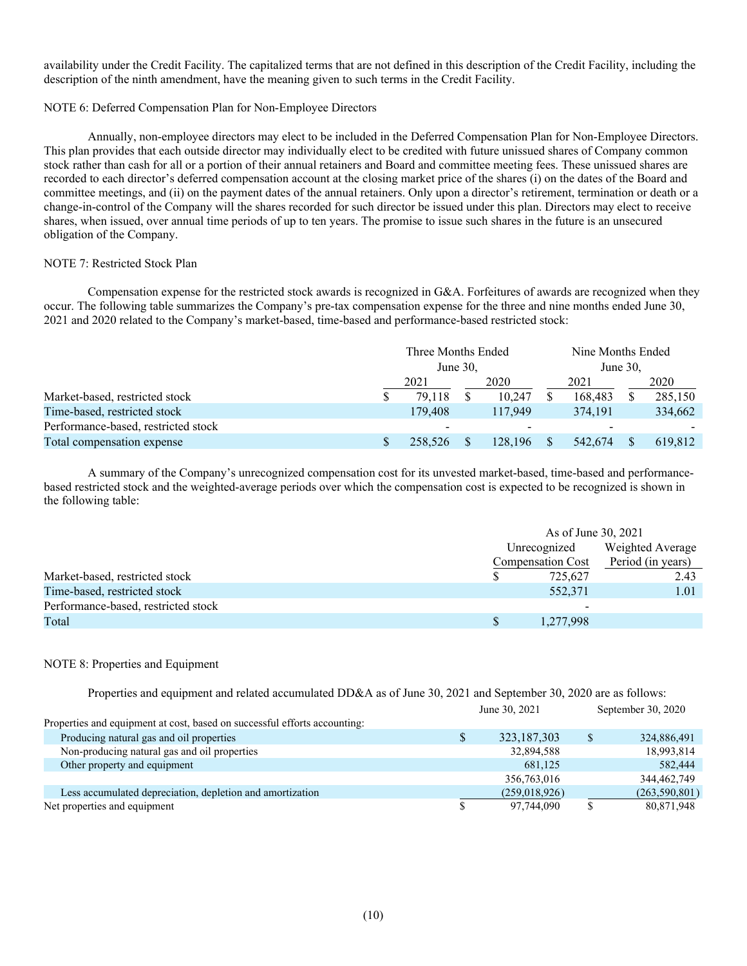availability under the Credit Facility. The capitalized terms that are not defined in this description of the Credit Facility, including the description of the ninth amendment, have the meaning given to such terms in the Credit Facility.

# NOTE 6: Deferred Compensation Plan for Non-Employee Directors

Annually, non-employee directors may elect to be included in the Deferred Compensation Plan for Non-Employee Directors. This plan provides that each outside director may individually elect to be credited with future unissued shares of Company common stock rather than cash for all or a portion of their annual retainers and Board and committee meeting fees. These unissued shares are recorded to each director's deferred compensation account at the closing market price of the shares (i) on the dates of the Board and committee meetings, and (ii) on the payment dates of the annual retainers. Only upon a director's retirement, termination or death or a change-in-control of the Company will the shares recorded for such director be issued under this plan. Directors may elect to receive shares, when issued, over annual time periods of up to ten years. The promise to issue such shares in the future is an unsecured obligation of the Company.

### NOTE 7: Restricted Stock Plan

Compensation expense for the restricted stock awards is recognized in G&A. Forfeitures of awards are recognized when they occur. The following table summarizes the Company's pre-tax compensation expense for the three and nine months ended June 30, 2021 and 2020 related to the Company's market-based, time-based and performance-based restricted stock:

|                                     | Three Months Ended |         |      |                          | Nine Months Ended |                          |  |         |
|-------------------------------------|--------------------|---------|------|--------------------------|-------------------|--------------------------|--|---------|
|                                     | June $30$ .        |         |      |                          |                   | June $30$ ,              |  |         |
|                                     | 2021<br>79.118     |         | 2020 |                          | 2021              |                          |  | 2020    |
| Market-based, restricted stock      |                    |         |      | 10.247                   |                   | 168,483                  |  | 285,150 |
| Time-based, restricted stock        | 179,408            |         |      | 117.949                  |                   | 374.191                  |  | 334,662 |
| Performance-based, restricted stock |                    |         |      | $\overline{\phantom{0}}$ |                   | $\overline{\phantom{a}}$ |  |         |
| Total compensation expense          |                    | 258,526 |      | 128,196                  |                   | 542,674                  |  | 619,812 |

A summary of the Company's unrecognized compensation cost for its unvested market-based, time-based and performancebased restricted stock and the weighted-average periods over which the compensation cost is expected to be recognized is shown in the following table:

|                                     | As of June 30, 2021      |                   |  |  |
|-------------------------------------|--------------------------|-------------------|--|--|
|                                     | Unrecognized             | Weighted Average  |  |  |
|                                     | <b>Compensation Cost</b> | Period (in years) |  |  |
| Market-based, restricted stock      | 725,627                  | 2.43              |  |  |
| Time-based, restricted stock        | 552,371                  | 1.01              |  |  |
| Performance-based, restricted stock | $\overline{ }$           |                   |  |  |
| Total                               | 1,277,998                |                   |  |  |

## NOTE 8: Properties and Equipment

Properties and equipment and related accumulated DD&A as of June 30, 2021 and September 30, 2020 are as follows:

|                                                                           | June 30, 2021 |                 |              | September 30, 2020 |
|---------------------------------------------------------------------------|---------------|-----------------|--------------|--------------------|
| Properties and equipment at cost, based on successful efforts accounting: |               |                 |              |                    |
| Producing natural gas and oil properties                                  |               | 323, 187, 303   | $\mathbb{S}$ | 324,886,491        |
| Non-producing natural gas and oil properties                              |               | 32,894,588      |              | 18,993,814         |
| Other property and equipment                                              |               | 681,125         |              | 582,444            |
|                                                                           |               | 356,763,016     |              | 344,462,749        |
| Less accumulated depreciation, depletion and amortization                 |               | (259, 018, 926) |              | (263, 590, 801)    |
| Net properties and equipment                                              |               | 97,744,090      |              | 80,871,948         |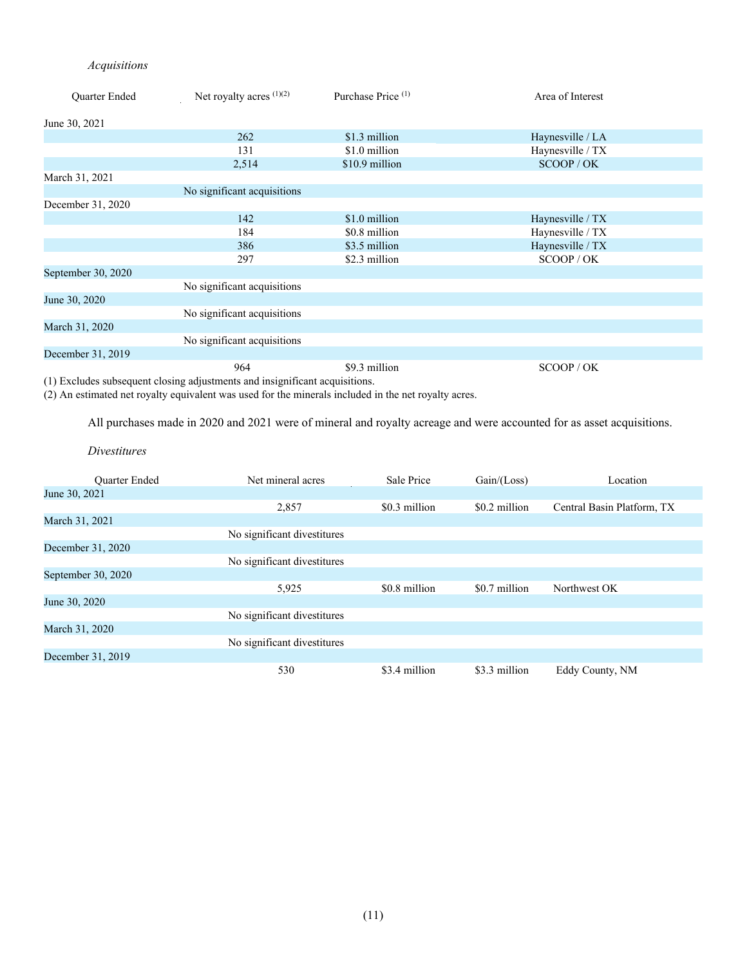# *Acquisitions*

| <b>Ouarter Ended</b> | Net royalty acres (1)(2)    | Purchase Price <sup>(1)</sup> | Area of Interest |
|----------------------|-----------------------------|-------------------------------|------------------|
| June 30, 2021        |                             |                               |                  |
|                      | 262                         | \$1.3 million                 | Haynesville / LA |
|                      | 131                         | \$1.0 million                 | Haynesville / TX |
|                      | 2,514                       | \$10.9 million                | SCOOP / OK       |
| March 31, 2021       |                             |                               |                  |
|                      | No significant acquisitions |                               |                  |
| December 31, 2020    |                             |                               |                  |
|                      | 142                         | \$1.0 million                 | Haynesville / TX |
|                      | 184                         | \$0.8 million                 | Haynesville / TX |
|                      | 386                         | \$3.5 million                 | Haynesville / TX |
|                      | 297                         | \$2.3 million                 | SCOOP/OK         |
| September 30, 2020   |                             |                               |                  |
|                      | No significant acquisitions |                               |                  |
| June 30, 2020        |                             |                               |                  |
|                      | No significant acquisitions |                               |                  |
| March 31, 2020       |                             |                               |                  |
|                      | No significant acquisitions |                               |                  |
| December 31, 2019    |                             |                               |                  |
|                      | 964                         | \$9.3 million                 | SCOOP / OK       |

(1) Excludes subsequent closing adjustments and insignificant acquisitions.

(2) An estimated net royalty equivalent was used for the minerals included in the net royalty acres.

All purchases made in 2020 and 2021 were of mineral and royalty acreage and were accounted for as asset acquisitions.

*Divestitures* 

| <b>Ouarter Ended</b> | Net mineral acres           | Sale Price    | Gain / (Loss) | Location                   |
|----------------------|-----------------------------|---------------|---------------|----------------------------|
| June 30, 2021        |                             |               |               |                            |
|                      | 2,857                       | \$0.3 million | \$0.2 million | Central Basin Platform, TX |
| March 31, 2021       |                             |               |               |                            |
|                      | No significant divestitures |               |               |                            |
| December 31, 2020    |                             |               |               |                            |
|                      | No significant divestitures |               |               |                            |
| September 30, 2020   |                             |               |               |                            |
|                      | 5,925                       | \$0.8 million | \$0.7 million | Northwest OK               |
| June 30, 2020        |                             |               |               |                            |
|                      | No significant divestitures |               |               |                            |
| March 31, 2020       |                             |               |               |                            |
|                      | No significant divestitures |               |               |                            |
| December 31, 2019    |                             |               |               |                            |
|                      | 530                         | \$3.4 million | \$3.3 million | Eddy County, NM            |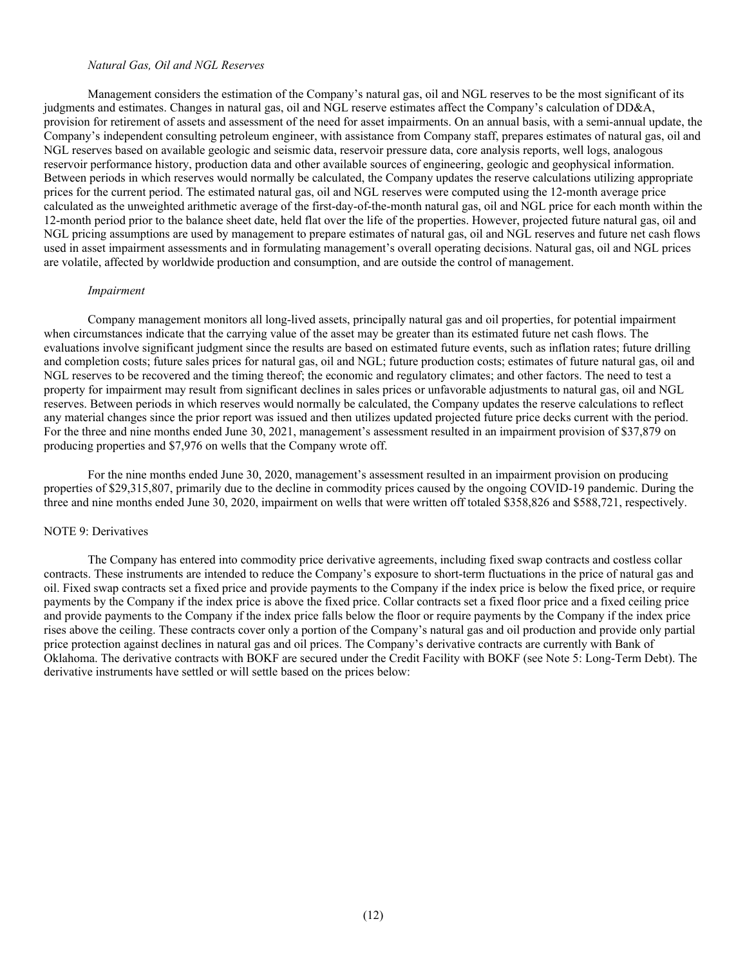#### *Natural Gas, Oil and NGL Reserves*

Management considers the estimation of the Company's natural gas, oil and NGL reserves to be the most significant of its judgments and estimates. Changes in natural gas, oil and NGL reserve estimates affect the Company's calculation of DD&A, provision for retirement of assets and assessment of the need for asset impairments. On an annual basis, with a semi-annual update, the Company's independent consulting petroleum engineer, with assistance from Company staff, prepares estimates of natural gas, oil and NGL reserves based on available geologic and seismic data, reservoir pressure data, core analysis reports, well logs, analogous reservoir performance history, production data and other available sources of engineering, geologic and geophysical information. Between periods in which reserves would normally be calculated, the Company updates the reserve calculations utilizing appropriate prices for the current period. The estimated natural gas, oil and NGL reserves were computed using the 12-month average price calculated as the unweighted arithmetic average of the first-day-of-the-month natural gas, oil and NGL price for each month within the 12-month period prior to the balance sheet date, held flat over the life of the properties. However, projected future natural gas, oil and NGL pricing assumptions are used by management to prepare estimates of natural gas, oil and NGL reserves and future net cash flows used in asset impairment assessments and in formulating management's overall operating decisions. Natural gas, oil and NGL prices are volatile, affected by worldwide production and consumption, and are outside the control of management.

#### *Impairment*

Company management monitors all long-lived assets, principally natural gas and oil properties, for potential impairment when circumstances indicate that the carrying value of the asset may be greater than its estimated future net cash flows. The evaluations involve significant judgment since the results are based on estimated future events, such as inflation rates; future drilling and completion costs; future sales prices for natural gas, oil and NGL; future production costs; estimates of future natural gas, oil and NGL reserves to be recovered and the timing thereof; the economic and regulatory climates; and other factors. The need to test a property for impairment may result from significant declines in sales prices or unfavorable adjustments to natural gas, oil and NGL reserves. Between periods in which reserves would normally be calculated, the Company updates the reserve calculations to reflect any material changes since the prior report was issued and then utilizes updated projected future price decks current with the period. For the three and nine months ended June 30, 2021, management's assessment resulted in an impairment provision of \$37,879 on producing properties and \$7,976 on wells that the Company wrote off.

For the nine months ended June 30, 2020, management's assessment resulted in an impairment provision on producing properties of \$29,315,807, primarily due to the decline in commodity prices caused by the ongoing COVID-19 pandemic. During the three and nine months ended June 30, 2020, impairment on wells that were written off totaled \$358,826 and \$588,721, respectively.

#### NOTE 9: Derivatives

The Company has entered into commodity price derivative agreements, including fixed swap contracts and costless collar contracts. These instruments are intended to reduce the Company's exposure to short-term fluctuations in the price of natural gas and oil. Fixed swap contracts set a fixed price and provide payments to the Company if the index price is below the fixed price, or require payments by the Company if the index price is above the fixed price. Collar contracts set a fixed floor price and a fixed ceiling price and provide payments to the Company if the index price falls below the floor or require payments by the Company if the index price rises above the ceiling. These contracts cover only a portion of the Company's natural gas and oil production and provide only partial price protection against declines in natural gas and oil prices. The Company's derivative contracts are currently with Bank of Oklahoma. The derivative contracts with BOKF are secured under the Credit Facility with BOKF (see Note 5: Long-Term Debt). The derivative instruments have settled or will settle based on the prices below: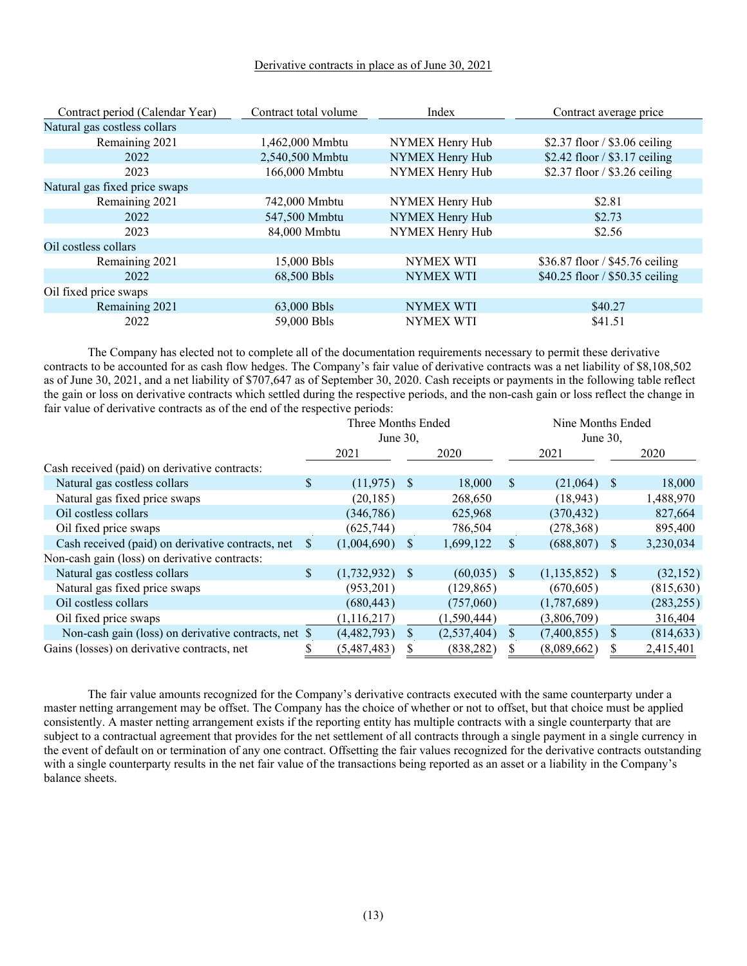# Derivative contracts in place as of June 30, 2021

| Contract period (Calendar Year) | Contract total volume | Index            | Contract average price          |
|---------------------------------|-----------------------|------------------|---------------------------------|
| Natural gas costless collars    |                       |                  |                                 |
| Remaining 2021                  | 1,462,000 Mmbtu       | NYMEX Henry Hub  | \$2.37 floor $/$ \$3.06 ceiling |
| 2022                            | 2,540,500 Mmbtu       | NYMEX Henry Hub  | \$2.42 floor $/$ \$3.17 ceiling |
| 2023                            | 166,000 Mmbtu         | NYMEX Henry Hub  | \$2.37 floor / \$3.26 ceiling   |
| Natural gas fixed price swaps   |                       |                  |                                 |
| Remaining 2021                  | 742,000 Mmbtu         | NYMEX Henry Hub  | \$2.81                          |
| 2022                            | 547,500 Mmbtu         | NYMEX Henry Hub  | \$2.73                          |
| 2023                            | 84,000 Mmbtu          | NYMEX Henry Hub  | \$2.56                          |
| Oil costless collars            |                       |                  |                                 |
| Remaining 2021                  | 15.000 Bbls           | NYMEX WTI        | \$36.87 floor / \$45.76 ceiling |
| 2022                            | 68,500 Bbls           | <b>NYMEX WTI</b> | \$40.25 floor / \$50.35 ceiling |
| Oil fixed price swaps           |                       |                  |                                 |
| Remaining 2021                  | 63,000 Bbls           | NYMEX WTI        | \$40.27                         |
| 2022                            | 59,000 Bbls           | NYMEX WTI        | \$41.51                         |

The Company has elected not to complete all of the documentation requirements necessary to permit these derivative contracts to be accounted for as cash flow hedges. The Company's fair value of derivative contracts was a net liability of \$8,108,502 as of June 30, 2021, and a net liability of \$707,647 as of September 30, 2020. Cash receipts or payments in the following table reflect the gain or loss on derivative contracts which settled during the respective periods, and the non-cash gain or loss reflect the change in fair value of derivative contracts as of the end of the respective periods:

|                                                      | Three Months Ended |              |          | Nine Months Ended |              |             |      |            |
|------------------------------------------------------|--------------------|--------------|----------|-------------------|--------------|-------------|------|------------|
|                                                      | June $30$ ,        |              |          | June 30,          |              |             |      |            |
|                                                      |                    | 2021<br>2020 |          |                   | 2021         |             | 2020 |            |
| Cash received (paid) on derivative contracts:        |                    |              |          |                   |              |             |      |            |
| Natural gas costless collars                         | \$                 | (11, 975)    | -S       | 18,000            | \$.          | (21,064)    | - S  | 18,000     |
| Natural gas fixed price swaps                        |                    | (20, 185)    |          | 268,650           |              | (18, 943)   |      | 1,488,970  |
| Oil costless collars                                 |                    | (346, 786)   |          | 625,968           |              | (370, 432)  |      | 827,664    |
| Oil fixed price swaps                                |                    | (625, 744)   |          | 786,504           |              | (278, 368)  |      | 895,400    |
| Cash received (paid) on derivative contracts, net    | S                  | (1,004,690)  | <b>S</b> | 1,699,122         |              | (688, 807)  |      | 3,230,034  |
| Non-cash gain (loss) on derivative contracts:        |                    |              |          |                   |              |             |      |            |
| Natural gas costless collars                         | \$                 | (1,732,932)  | -S       | (60, 035)         | <sup>S</sup> | (1,135,852) | - S  | (32, 152)  |
| Natural gas fixed price swaps                        |                    | (953,201)    |          | (129, 865)        |              | (670, 605)  |      | (815, 630) |
| Oil costless collars                                 |                    | (680, 443)   |          | (757,060)         |              | (1,787,689) |      | (283, 255) |
| Oil fixed price swaps                                |                    | (1,116,217)  |          | (1,590,444)       |              | (3,806,709) |      | 316,404    |
| Non-cash gain (loss) on derivative contracts, net \$ |                    | (4,482,793)  | S.       | (2,537,404)       | S.           | (7,400,855) |      | (814, 633) |
| Gains (losses) on derivative contracts, net          |                    | (5,487,483)  |          | (838, 282)        |              | (8,089,662) |      | 2,415,401  |

The fair value amounts recognized for the Company's derivative contracts executed with the same counterparty under a master netting arrangement may be offset. The Company has the choice of whether or not to offset, but that choice must be applied consistently. A master netting arrangement exists if the reporting entity has multiple contracts with a single counterparty that are subject to a contractual agreement that provides for the net settlement of all contracts through a single payment in a single currency in the event of default on or termination of any one contract. Offsetting the fair values recognized for the derivative contracts outstanding with a single counterparty results in the net fair value of the transactions being reported as an asset or a liability in the Company's balance sheets.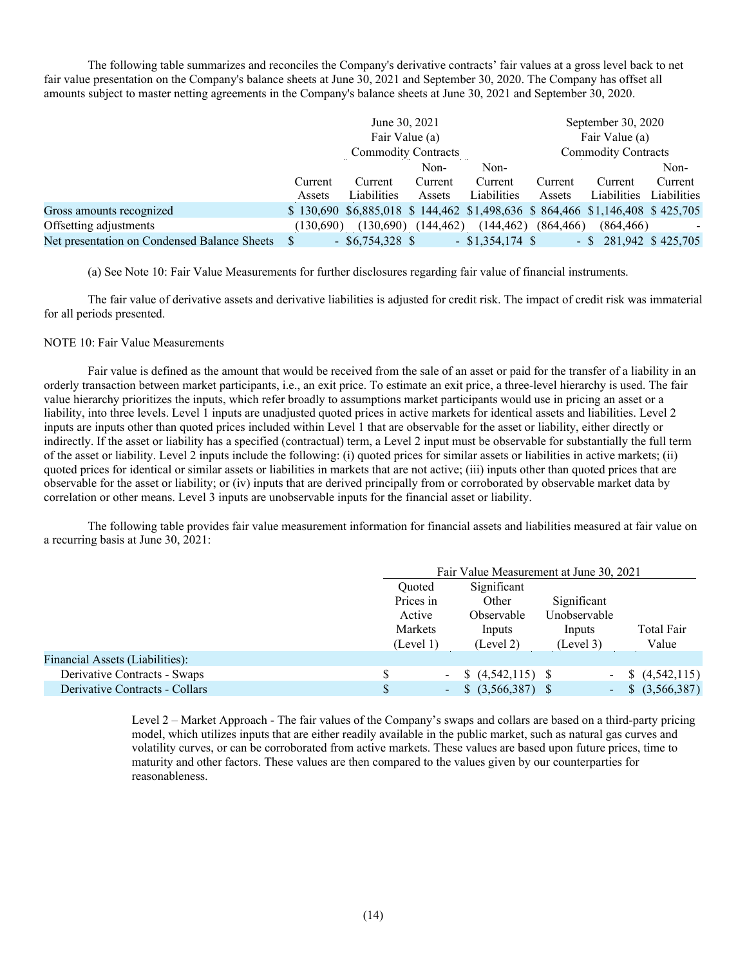The following table summarizes and reconciles the Company's derivative contracts' fair values at a gross level back to net fair value presentation on the Company's balance sheets at June 30, 2021 and September 30, 2020. The Company has offset all amounts subject to master netting agreements in the Company's balance sheets at June 30, 2021 and September 30, 2020.

|                                              | June 30, 2021<br>Fair Value (a)<br><b>Commodity Contracts</b> |                                                                                 |                         | September 30, 2020<br>Fair Value (a) |                            |                           |             |  |
|----------------------------------------------|---------------------------------------------------------------|---------------------------------------------------------------------------------|-------------------------|--------------------------------------|----------------------------|---------------------------|-------------|--|
|                                              |                                                               |                                                                                 |                         |                                      | <b>Commodity Contracts</b> |                           |             |  |
|                                              |                                                               |                                                                                 | Non-                    | Non-                                 |                            |                           | Non-        |  |
|                                              | Current                                                       | Current                                                                         | Current                 | Current                              | Current                    | Current                   | Current     |  |
|                                              | Assets                                                        | Liabilities                                                                     | Assets                  | Liabilities                          | Assets                     | Liabilities               | Liabilities |  |
| Gross amounts recognized                     |                                                               | \$ 130,690 \$6,885,018 \$ 144,462 \$1,498,636 \$ 864,466 \$1,146,408 \$ 425,705 |                         |                                      |                            |                           |             |  |
| Offsetting adjustments                       | (130,690)                                                     |                                                                                 | $(130,690)$ $(144,462)$ |                                      | $(144, 462)$ $(864, 466)$  | (864, 466)                |             |  |
| Net presentation on Condensed Balance Sheets |                                                               | $-$ \$6,754,328 \$                                                              |                         | $-$ \$1,354,174 \$                   |                            | $-$ \$ 281,942 \$ 425,705 |             |  |

(a) See Note 10: Fair Value Measurements for further disclosures regarding fair value of financial instruments.

The fair value of derivative assets and derivative liabilities is adjusted for credit risk. The impact of credit risk was immaterial for all periods presented.

# NOTE 10: Fair Value Measurements

Fair value is defined as the amount that would be received from the sale of an asset or paid for the transfer of a liability in an orderly transaction between market participants, i.e., an exit price. To estimate an exit price, a three-level hierarchy is used. The fair value hierarchy prioritizes the inputs, which refer broadly to assumptions market participants would use in pricing an asset or a liability, into three levels. Level 1 inputs are unadjusted quoted prices in active markets for identical assets and liabilities. Level 2 inputs are inputs other than quoted prices included within Level 1 that are observable for the asset or liability, either directly or indirectly. If the asset or liability has a specified (contractual) term, a Level 2 input must be observable for substantially the full term of the asset or liability. Level 2 inputs include the following: (i) quoted prices for similar assets or liabilities in active markets; (ii) quoted prices for identical or similar assets or liabilities in markets that are not active; (iii) inputs other than quoted prices that are observable for the asset or liability; or (iv) inputs that are derived principally from or corroborated by observable market data by correlation or other means. Level 3 inputs are unobservable inputs for the financial asset or liability.

The following table provides fair value measurement information for financial assets and liabilities measured at fair value on a recurring basis at June 30, 2021:

|                                 |                                                                                                                                                                                                                                | Fair Value Measurement at June 30, 2021                   |                                                    |                     |  |  |  |  |
|---------------------------------|--------------------------------------------------------------------------------------------------------------------------------------------------------------------------------------------------------------------------------|-----------------------------------------------------------|----------------------------------------------------|---------------------|--|--|--|--|
|                                 | Ouoted<br>Prices in<br>Active<br>Markets<br>(Level 1)                                                                                                                                                                          | Significant<br>Other<br>Observable<br>Inputs<br>(Level 2) | Significant<br>Unobservable<br>Inputs<br>(Level 3) | Total Fair<br>Value |  |  |  |  |
| Financial Assets (Liabilities): |                                                                                                                                                                                                                                |                                                           |                                                    |                     |  |  |  |  |
| Derivative Contracts - Swaps    |                                                                                                                                                                                                                                |                                                           | $\sim$                                             | (4,542,115)         |  |  |  |  |
| Derivative Contracts - Collars  | The Second Second Second Second Second Second Second Second Second Second Second Second Second Second Second Second Second Second Second Second Second Second Second Second Second Second Second Second Second Second Second S | $$$ $(3,566,387)$                                         | $\sim$                                             | \$ (3,566,387)      |  |  |  |  |

Level 2 – Market Approach - The fair values of the Company's swaps and collars are based on a third-party pricing model, which utilizes inputs that are either readily available in the public market, such as natural gas curves and volatility curves, or can be corroborated from active markets. These values are based upon future prices, time to maturity and other factors. These values are then compared to the values given by our counterparties for reasonableness.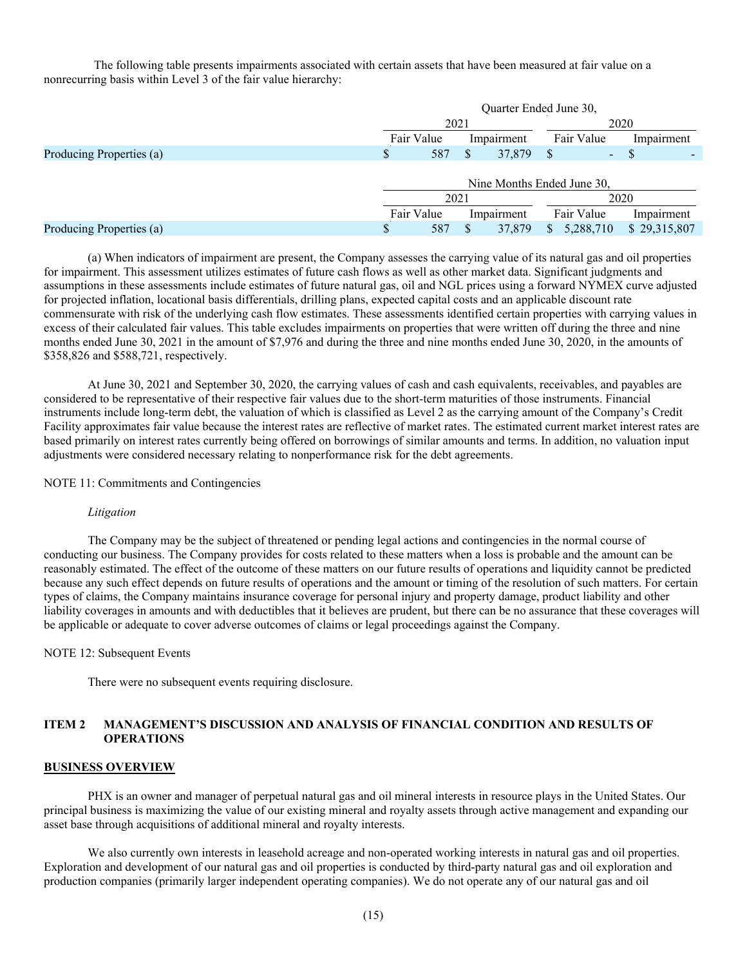The following table presents impairments associated with certain assets that have been measured at fair value on a nonrecurring basis within Level 3 of the fair value hierarchy:

|                          |                                  |     |            |        |            | Quarter Ended June 30, |              |  |  |
|--------------------------|----------------------------------|-----|------------|--------|------------|------------------------|--------------|--|--|
|                          | 2021                             |     |            |        | 2020       |                        |              |  |  |
|                          | Fair Value                       |     | Impairment |        | Fair Value | Impairment             |              |  |  |
| Producing Properties (a) | D                                | 587 |            | 37,879 | S          | $\blacksquare$         | <sup>S</sup> |  |  |
|                          | Nine Months Ended June 30,       |     |            |        |            |                        |              |  |  |
|                          | 2021<br>Fair Value<br>Impairment |     |            | 2020   |            |                        |              |  |  |
|                          |                                  |     |            |        |            | Fair Value             | Impairment   |  |  |
| Producing Properties (a) | D                                | 587 | S          | 37,879 |            | 5,288,710              | \$29,315,807 |  |  |

(a) When indicators of impairment are present, the Company assesses the carrying value of its natural gas and oil properties for impairment. This assessment utilizes estimates of future cash flows as well as other market data. Significant judgments and assumptions in these assessments include estimates of future natural gas, oil and NGL prices using a forward NYMEX curve adjusted for projected inflation, locational basis differentials, drilling plans, expected capital costs and an applicable discount rate commensurate with risk of the underlying cash flow estimates. These assessments identified certain properties with carrying values in excess of their calculated fair values. This table excludes impairments on properties that were written off during the three and nine months ended June 30, 2021 in the amount of \$7,976 and during the three and nine months ended June 30, 2020, in the amounts of \$358,826 and \$588,721, respectively.

At June 30, 2021 and September 30, 2020, the carrying values of cash and cash equivalents, receivables, and payables are considered to be representative of their respective fair values due to the short-term maturities of those instruments. Financial instruments include long-term debt, the valuation of which is classified as Level 2 as the carrying amount of the Company's Credit Facility approximates fair value because the interest rates are reflective of market rates. The estimated current market interest rates are based primarily on interest rates currently being offered on borrowings of similar amounts and terms. In addition, no valuation input adjustments were considered necessary relating to nonperformance risk for the debt agreements.

#### NOTE 11: Commitments and Contingencies

#### *Litigation*

The Company may be the subject of threatened or pending legal actions and contingencies in the normal course of conducting our business. The Company provides for costs related to these matters when a loss is probable and the amount can be reasonably estimated. The effect of the outcome of these matters on our future results of operations and liquidity cannot be predicted because any such effect depends on future results of operations and the amount or timing of the resolution of such matters. For certain types of claims, the Company maintains insurance coverage for personal injury and property damage, product liability and other liability coverages in amounts and with deductibles that it believes are prudent, but there can be no assurance that these coverages will be applicable or adequate to cover adverse outcomes of claims or legal proceedings against the Company.

#### NOTE 12: Subsequent Events

There were no subsequent events requiring disclosure.

# **ITEM 2 MANAGEMENT'S DISCUSSION AND ANALYSIS OF FINANCIAL CONDITION AND RESULTS OF OPERATIONS**

#### **BUSINESS OVERVIEW**

PHX is an owner and manager of perpetual natural gas and oil mineral interests in resource plays in the United States. Our principal business is maximizing the value of our existing mineral and royalty assets through active management and expanding our asset base through acquisitions of additional mineral and royalty interests.

We also currently own interests in leasehold acreage and non-operated working interests in natural gas and oil properties. Exploration and development of our natural gas and oil properties is conducted by third-party natural gas and oil exploration and production companies (primarily larger independent operating companies). We do not operate any of our natural gas and oil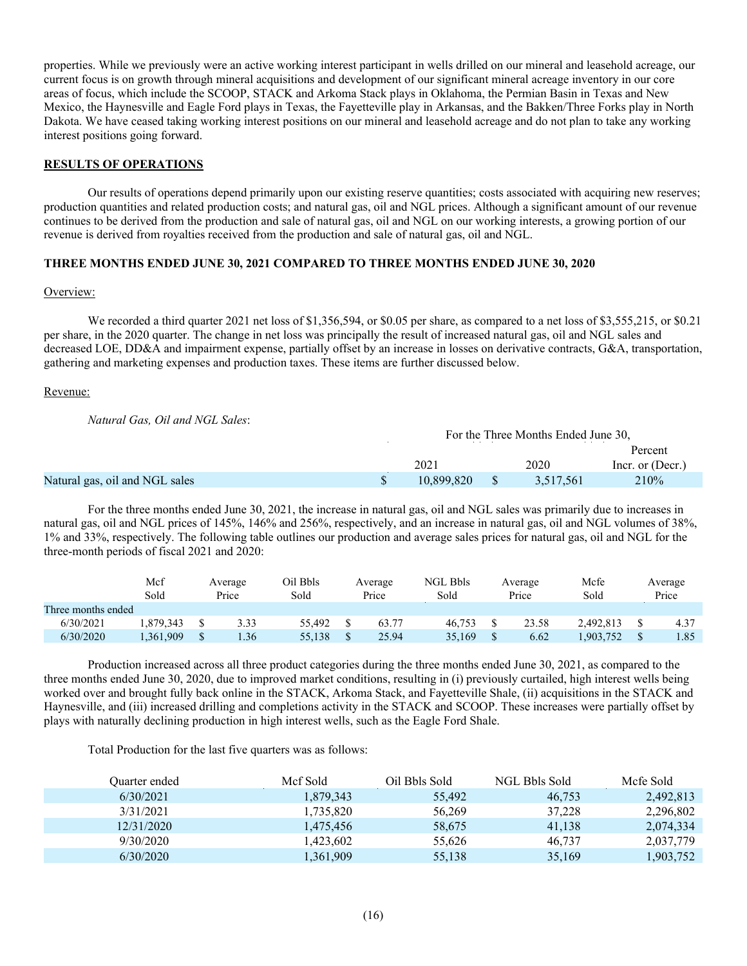properties. While we previously were an active working interest participant in wells drilled on our mineral and leasehold acreage, our current focus is on growth through mineral acquisitions and development of our significant mineral acreage inventory in our core areas of focus, which include the SCOOP, STACK and Arkoma Stack plays in Oklahoma, the Permian Basin in Texas and New Mexico, the Haynesville and Eagle Ford plays in Texas, the Fayetteville play in Arkansas, and the Bakken/Three Forks play in North Dakota. We have ceased taking working interest positions on our mineral and leasehold acreage and do not plan to take any working interest positions going forward.

# **RESULTS OF OPERATIONS**

*Natural Gas, Oil and NGL Sales*:

Our results of operations depend primarily upon our existing reserve quantities; costs associated with acquiring new reserves; production quantities and related production costs; and natural gas, oil and NGL prices. Although a significant amount of our revenue continues to be derived from the production and sale of natural gas, oil and NGL on our working interests, a growing portion of our revenue is derived from royalties received from the production and sale of natural gas, oil and NGL.

# **THREE MONTHS ENDED JUNE 30, 2021 COMPARED TO THREE MONTHS ENDED JUNE 30, 2020**

### Overview:

We recorded a third quarter 2021 net loss of \$1,356,594, or \$0.05 per share, as compared to a net loss of \$3,555,215, or \$0.21 per share, in the 2020 quarter. The change in net loss was principally the result of increased natural gas, oil and NGL sales and decreased LOE, DD&A and impairment expense, partially offset by an increase in losses on derivative contracts, G&A, transportation, gathering and marketing expenses and production taxes. These items are further discussed below.

# Revenue:

| 2021       | 2020      | Incr. or $(Decr.)$ |                                                |
|------------|-----------|--------------------|------------------------------------------------|
| 10.899.820 | 3,517,561 | 210%               |                                                |
|            |           |                    | For the Three Months Ended June 30,<br>Percent |

For the three months ended June 30, 2021, the increase in natural gas, oil and NGL sales was primarily due to increases in natural gas, oil and NGL prices of 145%, 146% and 256%, respectively, and an increase in natural gas, oil and NGL volumes of 38%, 1% and 33%, respectively. The following table outlines our production and average sales prices for natural gas, oil and NGL for the three-month periods of fiscal 2021 and 2020:

|                    | Mcf<br>Sold | Average<br>Price | Oil Bbls<br>Sold | Average<br>Price | NGL Bbls<br>Sold | Average<br>Price | Mcfe<br>Sold | Average<br>Price |
|--------------------|-------------|------------------|------------------|------------------|------------------|------------------|--------------|------------------|
| Three months ended |             |                  |                  |                  |                  |                  |              |                  |
| 6/30/2021          | .879.343    | 3.33             | 55,492           | 63.77            | 46.753           | 23.58            | 2.492.813    | 4.37             |
| 6/30/2020          | .361.909    | .36              | 55,138           | 25.94            | 35,169           | 6.62             | 1.903.752    | 1.85             |

 Production increased across all three product categories during the three months ended June 30, 2021, as compared to the three months ended June 30, 2020, due to improved market conditions, resulting in (i) previously curtailed, high interest wells being worked over and brought fully back online in the STACK, Arkoma Stack, and Fayetteville Shale, (ii) acquisitions in the STACK and Haynesville, and (iii) increased drilling and completions activity in the STACK and SCOOP. These increases were partially offset by plays with naturally declining production in high interest wells, such as the Eagle Ford Shale.

Total Production for the last five quarters was as follows:

| Ouarter ended | Mcf Sold  | Oil Bbls Sold | NGL Bbls Sold | Mcfe Sold |
|---------------|-----------|---------------|---------------|-----------|
| 6/30/2021     | 1,879,343 | 55,492        | 46,753        | 2,492,813 |
| 3/31/2021     | 1,735,820 | 56,269        | 37,228        | 2,296,802 |
| 12/31/2020    | 1.475.456 | 58,675        | 41.138        | 2.074.334 |
| 9/30/2020     | 1.423.602 | 55.626        | 46,737        | 2,037,779 |
| 6/30/2020     | 1,361,909 | 55,138        | 35,169        | 1,903,752 |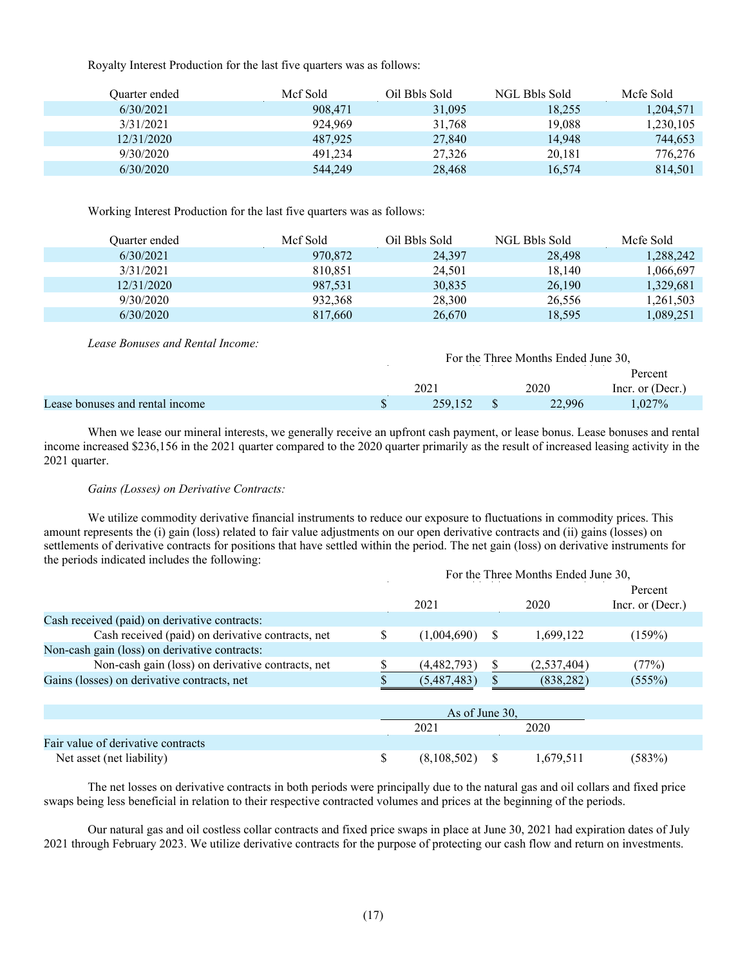Royalty Interest Production for the last five quarters was as follows:

| Ouarter ended | Mcf Sold | Oil Bbls Sold- | NGL Bbls Sold | Mcfe Sold |
|---------------|----------|----------------|---------------|-----------|
| 6/30/2021     | 908,471  | 31,095         | 18,255        | 1,204,571 |
| 3/31/2021     | 924.969  | 31,768         | 19,088        | 1,230,105 |
| 12/31/2020    | 487.925  | 27,840         | 14.948        | 744,653   |
| 9/30/2020     | 491,234  | 27,326         | 20,181        | 776,276   |
| 6/30/2020     | 544,249  | 28,468         | 16.574        | 814,501   |

Working Interest Production for the last five quarters was as follows:

| Ouarter ended | Mcf Sold | Oil Bbls Sold | NGL Bbls Sold | Mcfe Sold |
|---------------|----------|---------------|---------------|-----------|
| 6/30/2021     | 970,872  | 24,397        | 28.498        | 1,288,242 |
| 3/31/2021     | 810.851  | 24,501        | 18,140        | 1,066,697 |
| 12/31/2020    | 987.531  | 30,835        | 26,190        | 1,329,681 |
| 9/30/2020     | 932.368  | 28,300        | 26.556        | 1,261,503 |
| 6/30/2020     | 817,660  | 26,670        | 18,595        | 1,089,251 |
|               |          |               |               |           |

*Lease Bonuses and Rental Income:* 

| For the Three Months Ended June 30, |         |  |        |                    |  |  |  |
|-------------------------------------|---------|--|--------|--------------------|--|--|--|
|                                     |         |  |        | Percent            |  |  |  |
|                                     | 2021    |  | 2020   | Incr. or $(Decr.)$ |  |  |  |
|                                     | 259.152 |  | 22.996 | $.027\%$           |  |  |  |
|                                     |         |  |        |                    |  |  |  |

When we lease our mineral interests, we generally receive an upfront cash payment, or lease bonus. Lease bonuses and rental income increased \$236,156 in the 2021 quarter compared to the 2020 quarter primarily as the result of increased leasing activity in the 2021 quarter.

# *Gains (Losses) on Derivative Contracts:*

We utilize commodity derivative financial instruments to reduce our exposure to fluctuations in commodity prices. This amount represents the (i) gain (loss) related to fair value adjustments on our open derivative contracts and (ii) gains (losses) on settlements of derivative contracts for positions that have settled within the period. The net gain (loss) on derivative instruments for the periods indicated includes the following:

| For the Three Months Ended June 30, |             |         |             |                    |  |  |  |
|-------------------------------------|-------------|---------|-------------|--------------------|--|--|--|
|                                     |             | Percent |             |                    |  |  |  |
|                                     | 2021        |         | 2020        | Incr. or $(Decr.)$ |  |  |  |
|                                     |             |         |             |                    |  |  |  |
|                                     | (1,004,690) |         | 1,699,122   | (159%)             |  |  |  |
|                                     |             |         |             |                    |  |  |  |
|                                     | (4,482,793) |         | (2,537,404) | (77%)              |  |  |  |
|                                     | (5,487,483) |         | (838, 282)  | $(555\%)$          |  |  |  |
|                                     |             |         |             |                    |  |  |  |

|                                    | As of June $30$ , |  |           |        |  |  |  |
|------------------------------------|-------------------|--|-----------|--------|--|--|--|
|                                    | 202.              |  | 2020      |        |  |  |  |
| Fair value of derivative contracts |                   |  |           |        |  |  |  |
| Net asset (net liability)          | (8,108,502)       |  | 1,679,511 | (583%) |  |  |  |

The net losses on derivative contracts in both periods were principally due to the natural gas and oil collars and fixed price swaps being less beneficial in relation to their respective contracted volumes and prices at the beginning of the periods.

Our natural gas and oil costless collar contracts and fixed price swaps in place at June 30, 2021 had expiration dates of July 2021 through February 2023. We utilize derivative contracts for the purpose of protecting our cash flow and return on investments.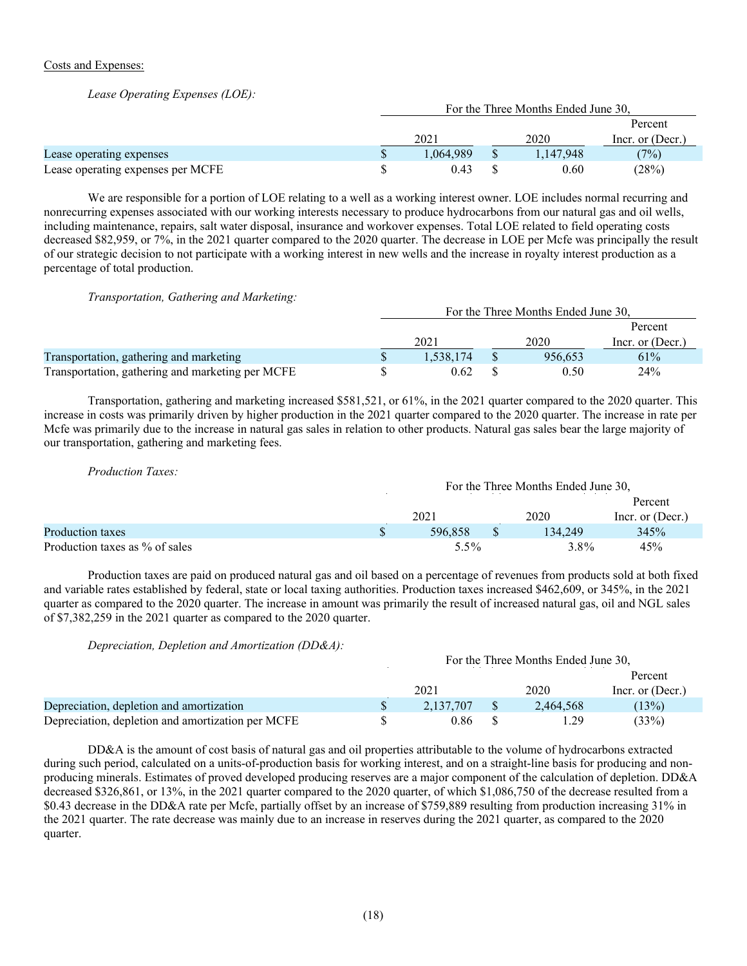#### Costs and Expenses:

*Lease Operating Expenses (LOE):* 

|                                   | For the Three Months Ended June 30. |  |           |                  |  |  |  |  |
|-----------------------------------|-------------------------------------|--|-----------|------------------|--|--|--|--|
|                                   |                                     |  | Percent   |                  |  |  |  |  |
|                                   | 2021                                |  | 2020      | Incr. or (Decr.) |  |  |  |  |
| Lease operating expenses          | 1.064.989                           |  | 1.147.948 | (7%)             |  |  |  |  |
| Lease operating expenses per MCFE | 0.43                                |  | 0.60      | (28%)            |  |  |  |  |

We are responsible for a portion of LOE relating to a well as a working interest owner. LOE includes normal recurring and nonrecurring expenses associated with our working interests necessary to produce hydrocarbons from our natural gas and oil wells, including maintenance, repairs, salt water disposal, insurance and workover expenses. Total LOE related to field operating costs decreased \$82,959, or 7%, in the 2021 quarter compared to the 2020 quarter. The decrease in LOE per Mcfe was principally the result of our strategic decision to not participate with a working interest in new wells and the increase in royalty interest production as a percentage of total production.

*Transportation, Gathering and Marketing:* 

|                                                  | For the Three Months Ended June 30, |           |  |         |                    |  |  |
|--------------------------------------------------|-------------------------------------|-----------|--|---------|--------------------|--|--|
|                                                  |                                     |           |  |         | Percent            |  |  |
|                                                  |                                     | 2021      |  | 2020    | Incr. or $(Decr.)$ |  |  |
| Transportation, gathering and marketing          |                                     | 1.538.174 |  | 956.653 | 61%                |  |  |
| Transportation, gathering and marketing per MCFE |                                     | 0.62      |  | 0.50    | 24%                |  |  |

Transportation, gathering and marketing increased \$581,521, or 61%, in the 2021 quarter compared to the 2020 quarter. This increase in costs was primarily driven by higher production in the 2021 quarter compared to the 2020 quarter. The increase in rate per Mcfe was primarily due to the increase in natural gas sales in relation to other products. Natural gas sales bear the large majority of our transportation, gathering and marketing fees.

| <i>Production Taxes:</i>       |   |         | For the Three Months Ended June 30, |                             |
|--------------------------------|---|---------|-------------------------------------|-----------------------------|
|                                |   | 2021    | 2020                                | Percent<br>Incr. or (Decr.) |
| Production taxes               | S | 596,858 | 134,249                             | 345%                        |
| Production taxes as % of sales |   | 5.5%    | 3.8%                                | 45%                         |

 Production taxes are paid on produced natural gas and oil based on a percentage of revenues from products sold at both fixed and variable rates established by federal, state or local taxing authorities. Production taxes increased \$462,609, or 345%, in the 2021 quarter as compared to the 2020 quarter. The increase in amount was primarily the result of increased natural gas, oil and NGL sales of \$7,382,259 in the 2021 quarter as compared to the 2020 quarter.

### *Depreciation, Depletion and Amortization (DD&A):*

|                                                   | For the Three Months Ended June 30. |           |  |           |                  |  |
|---------------------------------------------------|-------------------------------------|-----------|--|-----------|------------------|--|
|                                                   |                                     |           |  |           | Percent          |  |
|                                                   |                                     | 2021      |  | 2020      | Incr. or (Decr.) |  |
| Depreciation, depletion and amortization          |                                     | 2.137.707 |  | 2.464.568 | $13\%)$          |  |
| Depreciation, depletion and amortization per MCFE |                                     | 0.86      |  | .29       | (33%)            |  |

DD&A is the amount of cost basis of natural gas and oil properties attributable to the volume of hydrocarbons extracted during such period, calculated on a units-of-production basis for working interest, and on a straight-line basis for producing and nonproducing minerals. Estimates of proved developed producing reserves are a major component of the calculation of depletion. DD&A decreased \$326,861, or 13%, in the 2021 quarter compared to the 2020 quarter, of which \$1,086,750 of the decrease resulted from a \$0.43 decrease in the DD&A rate per Mcfe, partially offset by an increase of \$759,889 resulting from production increasing 31% in the 2021 quarter. The rate decrease was mainly due to an increase in reserves during the 2021 quarter, as compared to the 2020 quarter.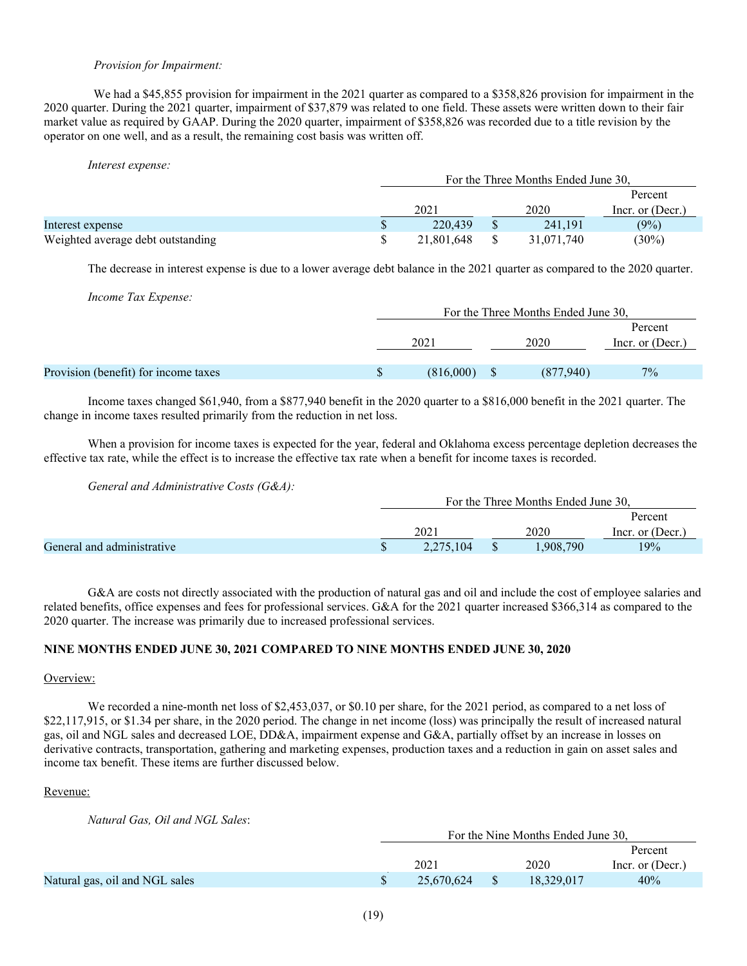# *Provision for Impairment:*

We had a \$45,855 provision for impairment in the 2021 quarter as compared to a \$358,826 provision for impairment in the 2020 quarter. During the 2021 quarter, impairment of \$37,879 was related to one field. These assets were written down to their fair market value as required by GAAP. During the 2020 quarter, impairment of \$358,826 was recorded due to a title revision by the operator on one well, and as a result, the remaining cost basis was written off.

#### *Interest expense:*

|                                   | For the Three Months Ended June 30. |         |            |                    |  |  |
|-----------------------------------|-------------------------------------|---------|------------|--------------------|--|--|
|                                   |                                     | Percent |            |                    |  |  |
|                                   | 2021                                |         | 2020       | Incr. or $(Decr.)$ |  |  |
| Interest expense                  | 220,439                             |         | 241.191    | (9%)               |  |  |
| Weighted average debt outstanding | 21,801,648                          |         | 31,071,740 | $(30\%)$           |  |  |

The decrease in interest expense is due to a lower average debt balance in the 2021 quarter as compared to the 2020 quarter.

#### *Income Tax Expense:*

|                                      | For the Three Months Ended June 30, |              |           |                               |  |
|--------------------------------------|-------------------------------------|--------------|-----------|-------------------------------|--|
|                                      | 2021                                |              | 2020      | Percent<br>Incr. or $(Decr.)$ |  |
| Provision (benefit) for income taxes | (816,000)                           | <sup>S</sup> | (877,940) | $7\%$                         |  |

Income taxes changed \$61,940, from a \$877,940 benefit in the 2020 quarter to a \$816,000 benefit in the 2021 quarter. The change in income taxes resulted primarily from the reduction in net loss.

When a provision for income taxes is expected for the year, federal and Oklahoma excess percentage depletion decreases the effective tax rate, while the effect is to increase the effective tax rate when a benefit for income taxes is recorded.

*General and Administrative Costs (G&A):* 

|                            | For the Three Months Ended June 30, |  |           |                    |  |  |  |
|----------------------------|-------------------------------------|--|-----------|--------------------|--|--|--|
|                            |                                     |  | Percent   |                    |  |  |  |
|                            | 2021                                |  | 2020      | Incr. or $(Decr.)$ |  |  |  |
| General and administrative | 2.275.104                           |  | 1.908.790 | 19%                |  |  |  |
|                            |                                     |  |           |                    |  |  |  |

G&A are costs not directly associated with the production of natural gas and oil and include the cost of employee salaries and related benefits, office expenses and fees for professional services. G&A for the 2021 quarter increased \$366,314 as compared to the 2020 quarter. The increase was primarily due to increased professional services.

# **NINE MONTHS ENDED JUNE 30, 2021 COMPARED TO NINE MONTHS ENDED JUNE 30, 2020**

### Overview:

We recorded a nine-month net loss of \$2,453,037, or \$0.10 per share, for the 2021 period, as compared to a net loss of \$22,117,915, or \$1.34 per share, in the 2020 period. The change in net income (loss) was principally the result of increased natural gas, oil and NGL sales and decreased LOE, DD&A, impairment expense and G&A, partially offset by an increase in losses on derivative contracts, transportation, gathering and marketing expenses, production taxes and a reduction in gain on asset sales and income tax benefit. These items are further discussed below.

### Revenue:

*Natural Gas, Oil and NGL Sales*:

|                                | For the Nine Months Ended June 30. |            |  |            |                  |  |  |
|--------------------------------|------------------------------------|------------|--|------------|------------------|--|--|
|                                |                                    |            |  |            | Percent          |  |  |
|                                |                                    | 2021       |  | 2020       | Incr. or (Decr.) |  |  |
| Natural gas, oil and NGL sales |                                    | 25,670,624 |  | 18.329.017 | 40%              |  |  |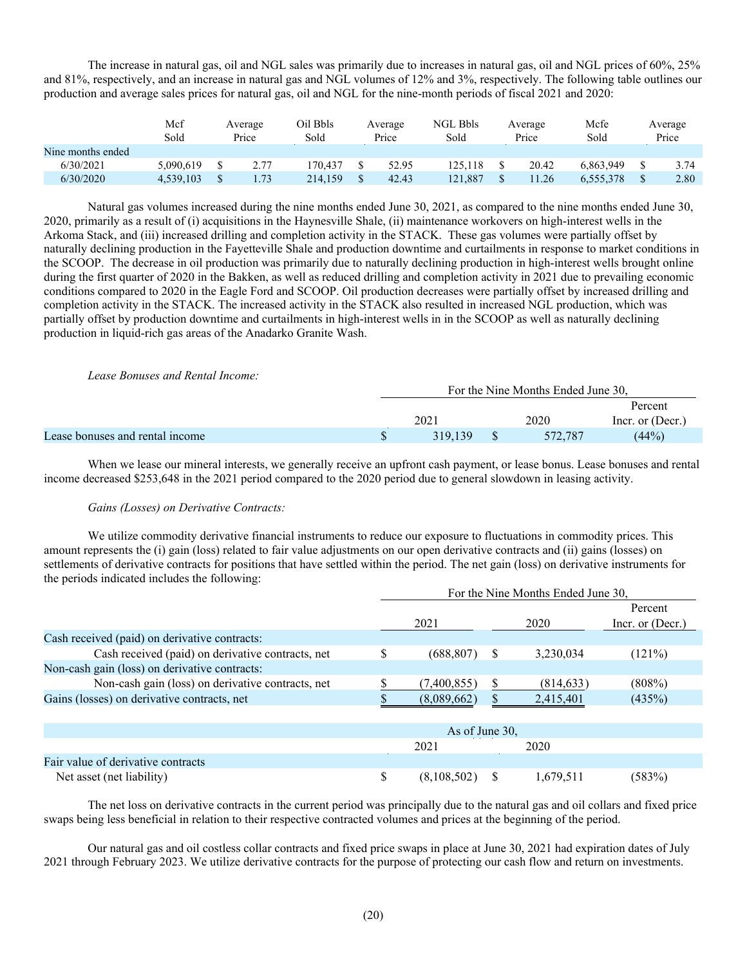The increase in natural gas, oil and NGL sales was primarily due to increases in natural gas, oil and NGL prices of 60%, 25% and 81%, respectively, and an increase in natural gas and NGL volumes of 12% and 3%, respectively. The following table outlines our production and average sales prices for natural gas, oil and NGL for the nine-month periods of fiscal 2021 and 2020:

|                   | Mcf<br>Sold | Average<br>Price | Oil Bbls<br>Sold | Average<br>Price | NGL Bbls<br>Sold | Average<br>Price | Mcfe<br>Sold | Average<br>Price |
|-------------------|-------------|------------------|------------------|------------------|------------------|------------------|--------------|------------------|
| Nine months ended |             |                  |                  |                  |                  |                  |              |                  |
| 6/30/2021         | 5,090,619   |                  | 70.437           | 52.95            | 125.118          | 20.42            | 6.863.949    | 3.74             |
| 6/30/2020         | 4.539.103   | 1.73             | 214,159          | 42.43            | 121.887          | 1.26             | 6.555.378    | 2.80             |

Natural gas volumes increased during the nine months ended June 30, 2021, as compared to the nine months ended June 30, 2020, primarily as a result of (i) acquisitions in the Haynesville Shale, (ii) maintenance workovers on high-interest wells in the Arkoma Stack, and (iii) increased drilling and completion activity in the STACK. These gas volumes were partially offset by naturally declining production in the Fayetteville Shale and production downtime and curtailments in response to market conditions in the SCOOP. The decrease in oil production was primarily due to naturally declining production in high-interest wells brought online during the first quarter of 2020 in the Bakken, as well as reduced drilling and completion activity in 2021 due to prevailing economic conditions compared to 2020 in the Eagle Ford and SCOOP. Oil production decreases were partially offset by increased drilling and completion activity in the STACK. The increased activity in the STACK also resulted in increased NGL production, which was partially offset by production downtime and curtailments in high-interest wells in in the SCOOP as well as naturally declining production in liquid-rich gas areas of the Anadarko Granite Wash.

| Lease Bonuses and Rental Income: |         |                                    |                  |
|----------------------------------|---------|------------------------------------|------------------|
|                                  |         | For the Nine Months Ended June 30, |                  |
|                                  |         |                                    | Percent          |
|                                  | 2021    | 2020                               | Incr. or (Decr.) |
| Lease bonuses and rental income  | 319 139 | 572.787                            | (44%)            |

When we lease our mineral interests, we generally receive an upfront cash payment, or lease bonus. Lease bonuses and rental income decreased \$253,648 in the 2021 period compared to the 2020 period due to general slowdown in leasing activity.

# *Gains (Losses) on Derivative Contracts:*

We utilize commodity derivative financial instruments to reduce our exposure to fluctuations in commodity prices. This amount represents the (i) gain (loss) related to fair value adjustments on our open derivative contracts and (ii) gains (losses) on settlements of derivative contracts for positions that have settled within the period. The net gain (loss) on derivative instruments for the periods indicated includes the following:

|                                                   | For the Nine Months Ended June 30, |                |                             |            |        |  |  |
|---------------------------------------------------|------------------------------------|----------------|-----------------------------|------------|--------|--|--|
|                                                   |                                    | 2021           | Percent<br>Incr. or (Decr.) |            |        |  |  |
| Cash received (paid) on derivative contracts:     |                                    |                |                             | 2020       |        |  |  |
| Cash received (paid) on derivative contracts, net | S                                  | (688, 807)     | <b>S</b>                    | 3,230,034  | (121%) |  |  |
| Non-cash gain (loss) on derivative contracts:     |                                    |                |                             |            |        |  |  |
| Non-cash gain (loss) on derivative contracts, net |                                    | (7,400,855)    |                             | (814, 633) | (808%) |  |  |
| Gains (losses) on derivative contracts, net       |                                    | (8,089,662)    |                             | 2,415,401  | (435%) |  |  |
|                                                   |                                    |                |                             |            |        |  |  |
|                                                   |                                    | As of June 30, |                             |            |        |  |  |
|                                                   |                                    | 2021           |                             | 2020       |        |  |  |
| Fair value of derivative contracts                |                                    |                |                             |            |        |  |  |
| Net asset (net liability)                         | \$                                 | (8,108,502)    |                             | 1,679,511  | (583%) |  |  |

The net loss on derivative contracts in the current period was principally due to the natural gas and oil collars and fixed price swaps being less beneficial in relation to their respective contracted volumes and prices at the beginning of the period.

Our natural gas and oil costless collar contracts and fixed price swaps in place at June 30, 2021 had expiration dates of July 2021 through February 2023. We utilize derivative contracts for the purpose of protecting our cash flow and return on investments.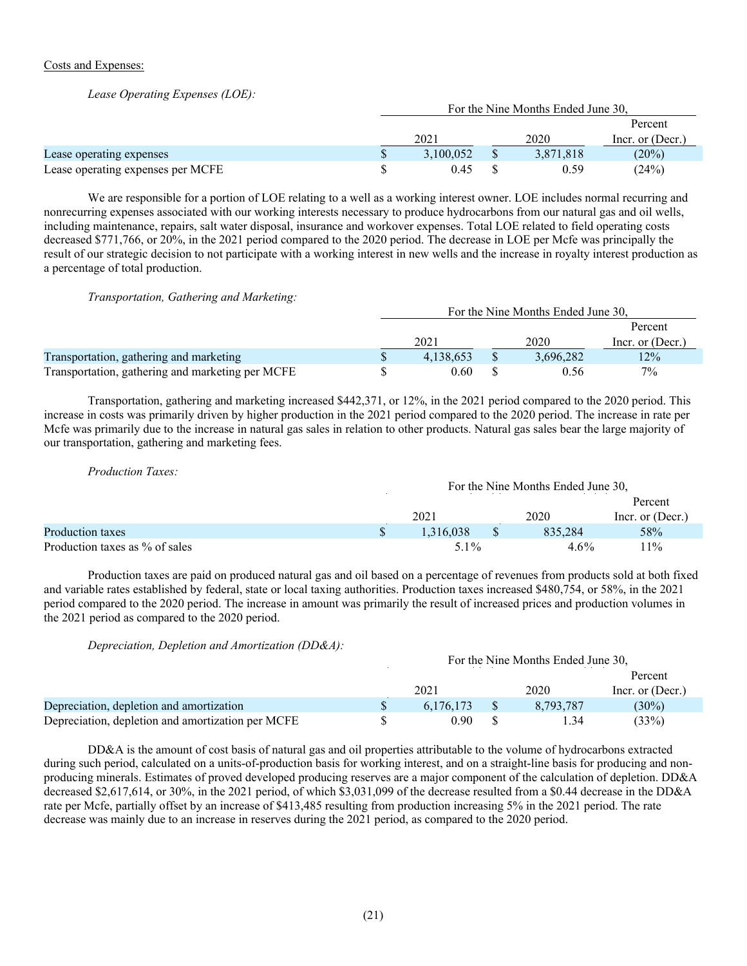#### Costs and Expenses:

*Lease Operating Expenses (LOE):* 

|                                   |           | For the Nine Months Ended June 30. |                    |
|-----------------------------------|-----------|------------------------------------|--------------------|
|                                   |           |                                    | Percent            |
|                                   | 2021      | 2020                               | Incr. or $(Decr.)$ |
| Lease operating expenses          | 3.100,052 | 3.871.818                          | $(20\%)$           |
| Lease operating expenses per MCFE | 0.45      | 0.59                               | (24%)              |

We are responsible for a portion of LOE relating to a well as a working interest owner. LOE includes normal recurring and nonrecurring expenses associated with our working interests necessary to produce hydrocarbons from our natural gas and oil wells, including maintenance, repairs, salt water disposal, insurance and workover expenses. Total LOE related to field operating costs decreased \$771,766, or 20%, in the 2021 period compared to the 2020 period. The decrease in LOE per Mcfe was principally the result of our strategic decision to not participate with a working interest in new wells and the increase in royalty interest production as a percentage of total production.

*Transportation, Gathering and Marketing:* 

*Production Taxes:* 

|                                                  | For the Nine Months Ended June 30, |         |           |                    |  |  |  |
|--------------------------------------------------|------------------------------------|---------|-----------|--------------------|--|--|--|
|                                                  |                                    | Percent |           |                    |  |  |  |
|                                                  | 2021                               |         | 2020      | Incr. or $(Decr.)$ |  |  |  |
| Transportation, gathering and marketing          | 4.138.653                          |         | 3.696.282 | 12%                |  |  |  |
| Transportation, gathering and marketing per MCFE | 0.60                               |         | 0.56      | $7\%$              |  |  |  |

Transportation, gathering and marketing increased \$442,371, or 12%, in the 2021 period compared to the 2020 period. This increase in costs was primarily driven by higher production in the 2021 period compared to the 2020 period. The increase in rate per Mcfe was primarily due to the increase in natural gas sales in relation to other products. Natural gas sales bear the large majority of our transportation, gathering and marketing fees.

|           |         | Percent                            |
|-----------|---------|------------------------------------|
| 2021      | 2020    | Incr. or $(Decr.)$                 |
| 1.316.038 | 835,284 | 58%                                |
| $5.1\%$   | $4.6\%$ | $1\%$                              |
|           |         | For the Nine Months Ended June 30, |

 Production taxes are paid on produced natural gas and oil based on a percentage of revenues from products sold at both fixed and variable rates established by federal, state or local taxing authorities. Production taxes increased \$480,754, or 58%, in the 2021 period compared to the 2020 period. The increase in amount was primarily the result of increased prices and production volumes in the 2021 period as compared to the 2020 period.

*Depreciation, Depletion and Amortization (DD&A):* 

|                                                   | For the Nine Months Ended June 30. |         |           |                  |  |  |
|---------------------------------------------------|------------------------------------|---------|-----------|------------------|--|--|
|                                                   |                                    | Percent |           |                  |  |  |
|                                                   | 2021                               |         | 2020      | Incr. or (Decr.) |  |  |
| Depreciation, depletion and amortization          | 6.176.173                          |         | 8.793.787 | $(30\%)$         |  |  |
| Depreciation, depletion and amortization per MCFE | 0.90                               |         | . .34     | (33%)            |  |  |

DD&A is the amount of cost basis of natural gas and oil properties attributable to the volume of hydrocarbons extracted during such period, calculated on a units-of-production basis for working interest, and on a straight-line basis for producing and nonproducing minerals. Estimates of proved developed producing reserves are a major component of the calculation of depletion. DD&A decreased \$2,617,614, or 30%, in the 2021 period, of which \$3,031,099 of the decrease resulted from a \$0.44 decrease in the DD&A rate per Mcfe, partially offset by an increase of \$413,485 resulting from production increasing 5% in the 2021 period. The rate decrease was mainly due to an increase in reserves during the 2021 period, as compared to the 2020 period.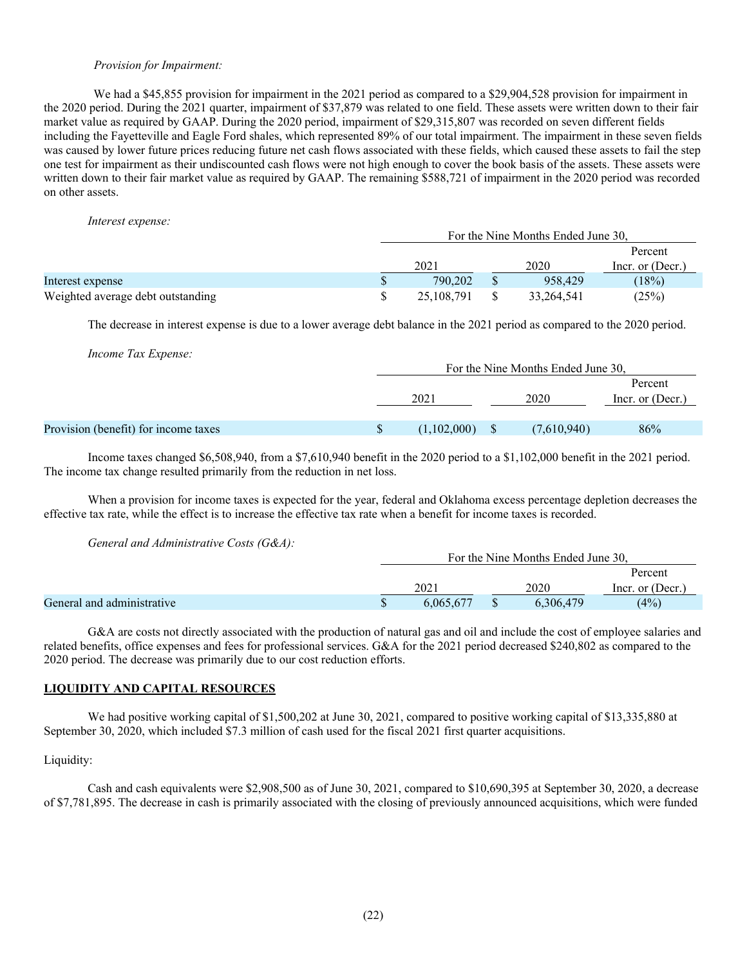### *Provision for Impairment:*

We had a \$45,855 provision for impairment in the 2021 period as compared to a \$29,904,528 provision for impairment in the 2020 period. During the 2021 quarter, impairment of \$37,879 was related to one field. These assets were written down to their fair market value as required by GAAP. During the 2020 period, impairment of \$29,315,807 was recorded on seven different fields including the Fayetteville and Eagle Ford shales, which represented 89% of our total impairment. The impairment in these seven fields was caused by lower future prices reducing future net cash flows associated with these fields, which caused these assets to fail the step one test for impairment as their undiscounted cash flows were not high enough to cover the book basis of the assets. These assets were written down to their fair market value as required by GAAP. The remaining \$588,721 of impairment in the 2020 period was recorded on other assets.

*Interest expense:* 

|                                   | TVI THE INITIAL MOTIONS ENGLISHED JU, |  |            |                    |  |  |
|-----------------------------------|---------------------------------------|--|------------|--------------------|--|--|
|                                   |                                       |  | Percent    |                    |  |  |
|                                   | 2021                                  |  | 2020       | Incr. or $(Decr.)$ |  |  |
| Interest expense                  | 790.202                               |  | 958.429    | $18\%)$            |  |  |
| Weighted average debt outstanding | 25, 108, 791                          |  | 33,264,541 | $25\%)$            |  |  |

The decrease in interest expense is due to a lower average debt balance in the 2021 period as compared to the 2020 period.

For the Nine Months Ended June 30,

For the Nine Months Ended June 30,

*Income Tax Expense:* 

|                                      |                                   |             |               | For the Nine Months Ended June 30, |                               |
|--------------------------------------|-----------------------------------|-------------|---------------|------------------------------------|-------------------------------|
|                                      | <b>Contract Contract Contract</b> | 2021        | $\sim$ $\sim$ | 2020                               | Percent<br>Incr. or $(Decr.)$ |
| Provision (benefit) for income taxes | <sup>\$</sup>                     | (1,102,000) |               | (7,610,940)                        | 86%                           |
|                                      |                                   |             |               |                                    |                               |

Income taxes changed \$6,508,940, from a \$7,610,940 benefit in the 2020 period to a \$1,102,000 benefit in the 2021 period. The income tax change resulted primarily from the reduction in net loss.

When a provision for income taxes is expected for the year, federal and Oklahoma excess percentage depletion decreases the effective tax rate, while the effect is to increase the effective tax rate when a benefit for income taxes is recorded.

*General and Administrative Costs (G&A):* 

|                            | TVI THE INITIAL MOTION ENGLISHED JU, |  |           |                  |  |
|----------------------------|--------------------------------------|--|-----------|------------------|--|
|                            |                                      |  | Percent   |                  |  |
|                            | 2021                                 |  | 2020      | Incr. or (Decr.) |  |
| General and administrative | 6.065.677                            |  | 6.306.479 | (4%)             |  |

G&A are costs not directly associated with the production of natural gas and oil and include the cost of employee salaries and related benefits, office expenses and fees for professional services. G&A for the 2021 period decreased \$240,802 as compared to the 2020 period. The decrease was primarily due to our cost reduction efforts.

### **LIQUIDITY AND CAPITAL RESOURCES**

We had positive working capital of \$1,500,202 at June 30, 2021, compared to positive working capital of \$13,335,880 at September 30, 2020, which included \$7.3 million of cash used for the fiscal 2021 first quarter acquisitions.

Liquidity:

Cash and cash equivalents were \$2,908,500 as of June 30, 2021, compared to \$10,690,395 at September 30, 2020, a decrease of \$7,781,895. The decrease in cash is primarily associated with the closing of previously announced acquisitions, which were funded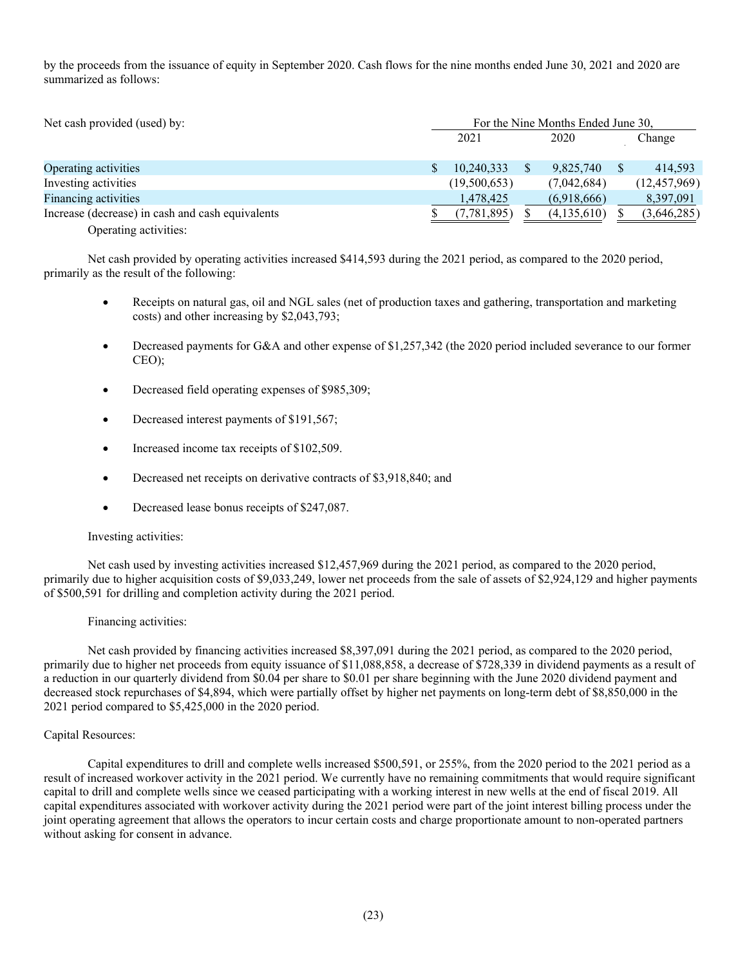by the proceeds from the issuance of equity in September 2020. Cash flows for the nine months ended June 30, 2021 and 2020 are summarized as follows:

| Net cash provided (used) by:                     | For the Nine Months Ended June 30, |  |             |  |                |  |  |  |
|--------------------------------------------------|------------------------------------|--|-------------|--|----------------|--|--|--|
|                                                  | 2021                               |  | 2020        |  | Change         |  |  |  |
|                                                  |                                    |  |             |  |                |  |  |  |
| Operating activities                             | 10,240,333                         |  | 9,825,740   |  | 414,593        |  |  |  |
| Investing activities                             | (19,500,653)                       |  | (7,042,684) |  | (12, 457, 969) |  |  |  |
| Financing activities                             | 1,478,425                          |  | (6,918,666) |  | 8,397,091      |  |  |  |
| Increase (decrease) in cash and cash equivalents | (7, 781, 895)                      |  | (4,135,610) |  | (3,646,285)    |  |  |  |
| $\sim$ $\sim$ $\sim$ $\sim$ $\sim$               |                                    |  |             |  |                |  |  |  |

Operating activities:

Net cash provided by operating activities increased \$414,593 during the 2021 period, as compared to the 2020 period, primarily as the result of the following:

- Receipts on natural gas, oil and NGL sales (net of production taxes and gathering, transportation and marketing costs) and other increasing by \$2,043,793;
- Decreased payments for G&A and other expense of \$1,257,342 (the 2020 period included severance to our former CEO);
- Decreased field operating expenses of \$985,309;
- Decreased interest payments of \$191,567;
- Increased income tax receipts of \$102,509.
- Decreased net receipts on derivative contracts of \$3,918,840; and
- Decreased lease bonus receipts of \$247,087.

### Investing activities:

Net cash used by investing activities increased \$12,457,969 during the 2021 period, as compared to the 2020 period, primarily due to higher acquisition costs of \$9,033,249, lower net proceeds from the sale of assets of \$2,924,129 and higher payments of \$500,591 for drilling and completion activity during the 2021 period.

### Financing activities:

Net cash provided by financing activities increased \$8,397,091 during the 2021 period, as compared to the 2020 period, primarily due to higher net proceeds from equity issuance of \$11,088,858, a decrease of \$728,339 in dividend payments as a result of a reduction in our quarterly dividend from \$0.04 per share to \$0.01 per share beginning with the June 2020 dividend payment and decreased stock repurchases of \$4,894, which were partially offset by higher net payments on long-term debt of \$8,850,000 in the 2021 period compared to \$5,425,000 in the 2020 period.

### Capital Resources:

Capital expenditures to drill and complete wells increased \$500,591, or 255%, from the 2020 period to the 2021 period as a result of increased workover activity in the 2021 period. We currently have no remaining commitments that would require significant capital to drill and complete wells since we ceased participating with a working interest in new wells at the end of fiscal 2019. All capital expenditures associated with workover activity during the 2021 period were part of the joint interest billing process under the joint operating agreement that allows the operators to incur certain costs and charge proportionate amount to non-operated partners without asking for consent in advance.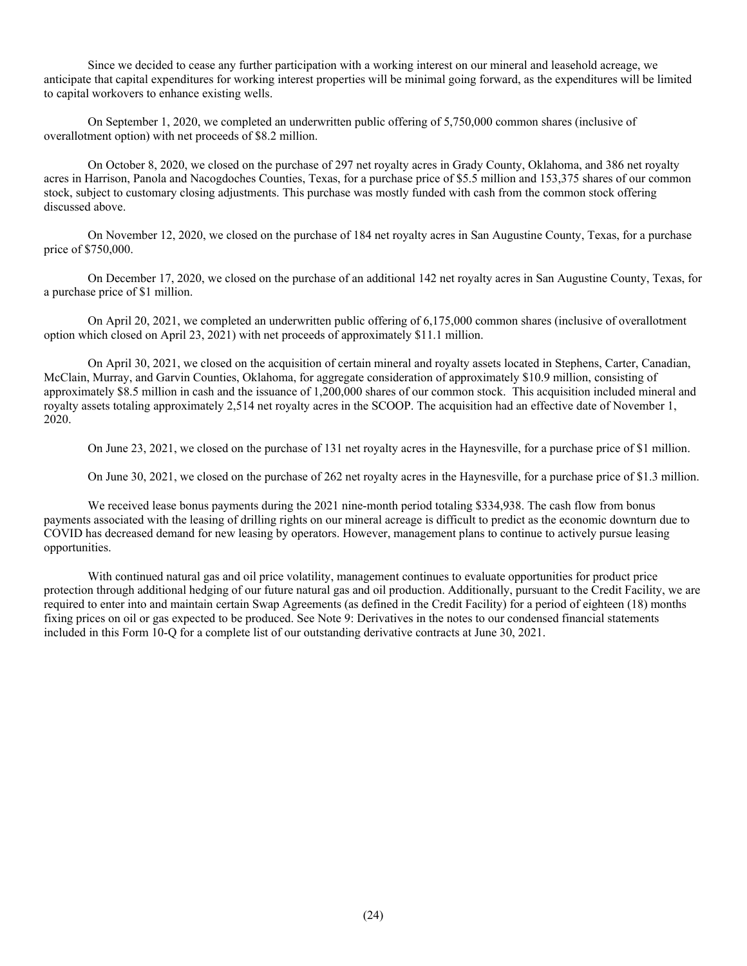Since we decided to cease any further participation with a working interest on our mineral and leasehold acreage, we anticipate that capital expenditures for working interest properties will be minimal going forward, as the expenditures will be limited to capital workovers to enhance existing wells.

On September 1, 2020, we completed an underwritten public offering of 5,750,000 common shares (inclusive of overallotment option) with net proceeds of \$8.2 million.

On October 8, 2020, we closed on the purchase of 297 net royalty acres in Grady County, Oklahoma, and 386 net royalty acres in Harrison, Panola and Nacogdoches Counties, Texas, for a purchase price of \$5.5 million and 153,375 shares of our common stock, subject to customary closing adjustments. This purchase was mostly funded with cash from the common stock offering discussed above.

On November 12, 2020, we closed on the purchase of 184 net royalty acres in San Augustine County, Texas, for a purchase price of \$750,000.

On December 17, 2020, we closed on the purchase of an additional 142 net royalty acres in San Augustine County, Texas, for a purchase price of \$1 million.

On April 20, 2021, we completed an underwritten public offering of 6,175,000 common shares (inclusive of overallotment option which closed on April 23, 2021) with net proceeds of approximately \$11.1 million.

On April 30, 2021, we closed on the acquisition of certain mineral and royalty assets located in Stephens, Carter, Canadian, McClain, Murray, and Garvin Counties, Oklahoma, for aggregate consideration of approximately \$10.9 million, consisting of approximately \$8.5 million in cash and the issuance of 1,200,000 shares of our common stock. This acquisition included mineral and royalty assets totaling approximately 2,514 net royalty acres in the SCOOP. The acquisition had an effective date of November 1, 2020.

On June 23, 2021, we closed on the purchase of 131 net royalty acres in the Haynesville, for a purchase price of \$1 million.

On June 30, 2021, we closed on the purchase of 262 net royalty acres in the Haynesville, for a purchase price of \$1.3 million.

We received lease bonus payments during the 2021 nine-month period totaling \$334,938. The cash flow from bonus payments associated with the leasing of drilling rights on our mineral acreage is difficult to predict as the economic downturn due to COVID has decreased demand for new leasing by operators. However, management plans to continue to actively pursue leasing opportunities.

With continued natural gas and oil price volatility, management continues to evaluate opportunities for product price protection through additional hedging of our future natural gas and oil production. Additionally, pursuant to the Credit Facility, we are required to enter into and maintain certain Swap Agreements (as defined in the Credit Facility) for a period of eighteen (18) months fixing prices on oil or gas expected to be produced. See Note 9: Derivatives in the notes to our condensed financial statements included in this Form 10-Q for a complete list of our outstanding derivative contracts at June 30, 2021.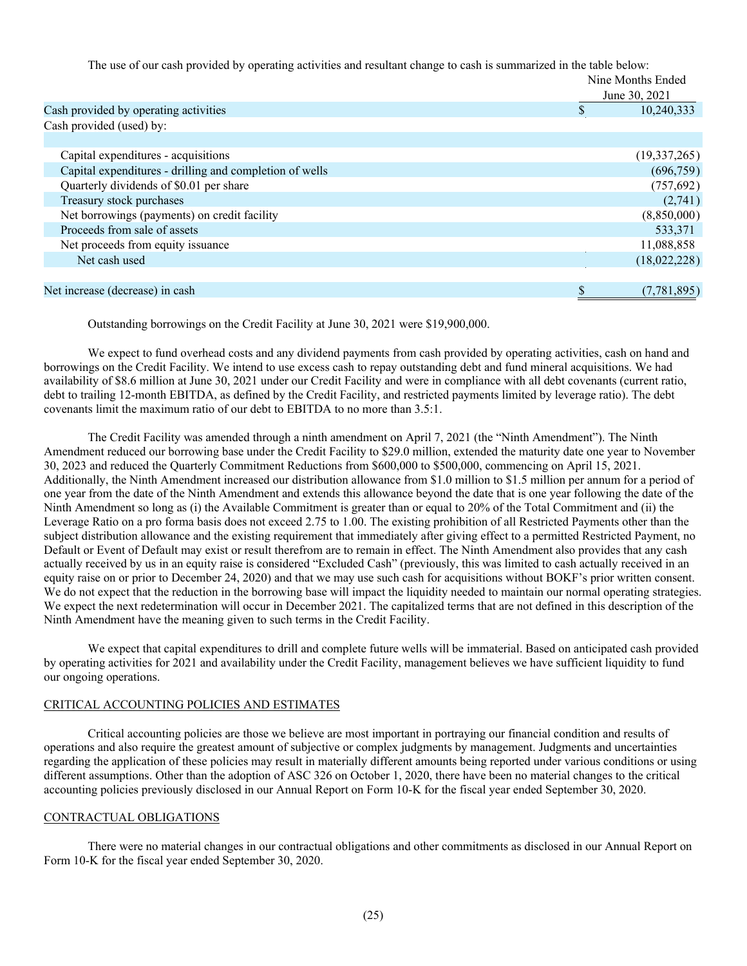The use of our cash provided by operating activities and resultant change to cash is summarized in the table below:

|                                                         | Nine Months Ended |               |  |
|---------------------------------------------------------|-------------------|---------------|--|
|                                                         |                   | June 30, 2021 |  |
| Cash provided by operating activities                   |                   | 10,240,333    |  |
| Cash provided (used) by:                                |                   |               |  |
|                                                         |                   |               |  |
| Capital expenditures - acquisitions                     |                   | (19,337,265)  |  |
| Capital expenditures - drilling and completion of wells |                   | (696,759)     |  |
| Quarterly dividends of \$0.01 per share                 |                   | (757,692)     |  |
| Treasury stock purchases                                |                   | (2,741)       |  |
| Net borrowings (payments) on credit facility            |                   | (8,850,000)   |  |
| Proceeds from sale of assets                            |                   | 533,371       |  |
| Net proceeds from equity issuance                       |                   | 11,088,858    |  |
| Net cash used                                           |                   | (18,022,228)  |  |
|                                                         |                   |               |  |
| Net increase (decrease) in cash                         |                   | (7, 781, 895) |  |

Outstanding borrowings on the Credit Facility at June 30, 2021 were \$19,900,000.

We expect to fund overhead costs and any dividend payments from cash provided by operating activities, cash on hand and borrowings on the Credit Facility. We intend to use excess cash to repay outstanding debt and fund mineral acquisitions. We had availability of \$8.6 million at June 30, 2021 under our Credit Facility and were in compliance with all debt covenants (current ratio, debt to trailing 12-month EBITDA, as defined by the Credit Facility, and restricted payments limited by leverage ratio). The debt covenants limit the maximum ratio of our debt to EBITDA to no more than 3.5:1.

The Credit Facility was amended through a ninth amendment on April 7, 2021 (the "Ninth Amendment"). The Ninth Amendment reduced our borrowing base under the Credit Facility to \$29.0 million, extended the maturity date one year to November 30, 2023 and reduced the Quarterly Commitment Reductions from \$600,000 to \$500,000, commencing on April 15, 2021. Additionally, the Ninth Amendment increased our distribution allowance from \$1.0 million to \$1.5 million per annum for a period of one year from the date of the Ninth Amendment and extends this allowance beyond the date that is one year following the date of the Ninth Amendment so long as (i) the Available Commitment is greater than or equal to 20% of the Total Commitment and (ii) the Leverage Ratio on a pro forma basis does not exceed 2.75 to 1.00. The existing prohibition of all Restricted Payments other than the subject distribution allowance and the existing requirement that immediately after giving effect to a permitted Restricted Payment, no Default or Event of Default may exist or result therefrom are to remain in effect. The Ninth Amendment also provides that any cash actually received by us in an equity raise is considered "Excluded Cash" (previously, this was limited to cash actually received in an equity raise on or prior to December 24, 2020) and that we may use such cash for acquisitions without BOKF's prior written consent. We do not expect that the reduction in the borrowing base will impact the liquidity needed to maintain our normal operating strategies. We expect the next redetermination will occur in December 2021. The capitalized terms that are not defined in this description of the Ninth Amendment have the meaning given to such terms in the Credit Facility.

We expect that capital expenditures to drill and complete future wells will be immaterial. Based on anticipated cash provided by operating activities for 2021 and availability under the Credit Facility, management believes we have sufficient liquidity to fund our ongoing operations.

## CRITICAL ACCOUNTING POLICIES AND ESTIMATES

Critical accounting policies are those we believe are most important in portraying our financial condition and results of operations and also require the greatest amount of subjective or complex judgments by management. Judgments and uncertainties regarding the application of these policies may result in materially different amounts being reported under various conditions or using different assumptions. Other than the adoption of ASC 326 on October 1, 2020, there have been no material changes to the critical accounting policies previously disclosed in our Annual Report on Form 10-K for the fiscal year ended September 30, 2020.

## CONTRACTUAL OBLIGATIONS

There were no material changes in our contractual obligations and other commitments as disclosed in our Annual Report on Form 10-K for the fiscal year ended September 30, 2020.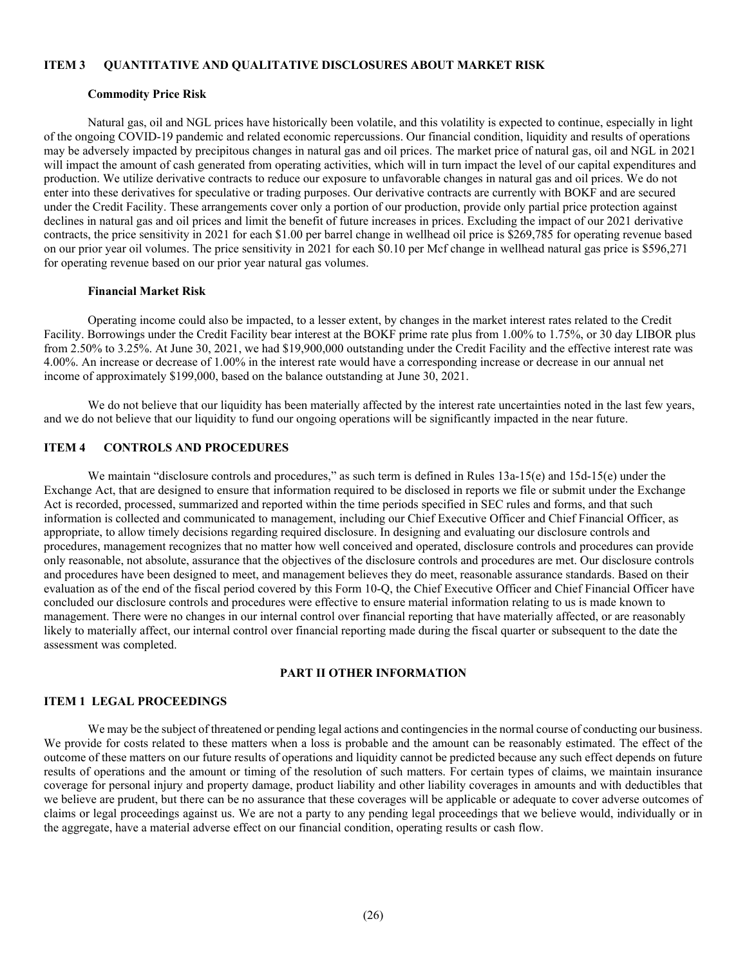## **ITEM 3 QUANTITATIVE AND QUALITATIVE DISCLOSURES ABOUT MARKET RISK**

#### **Commodity Price Risk**

Natural gas, oil and NGL prices have historically been volatile, and this volatility is expected to continue, especially in light of the ongoing COVID-19 pandemic and related economic repercussions. Our financial condition, liquidity and results of operations may be adversely impacted by precipitous changes in natural gas and oil prices. The market price of natural gas, oil and NGL in 2021 will impact the amount of cash generated from operating activities, which will in turn impact the level of our capital expenditures and production. We utilize derivative contracts to reduce our exposure to unfavorable changes in natural gas and oil prices. We do not enter into these derivatives for speculative or trading purposes. Our derivative contracts are currently with BOKF and are secured under the Credit Facility. These arrangements cover only a portion of our production, provide only partial price protection against declines in natural gas and oil prices and limit the benefit of future increases in prices. Excluding the impact of our 2021 derivative contracts, the price sensitivity in 2021 for each \$1.00 per barrel change in wellhead oil price is \$269,785 for operating revenue based on our prior year oil volumes. The price sensitivity in 2021 for each \$0.10 per Mcf change in wellhead natural gas price is \$596,271 for operating revenue based on our prior year natural gas volumes.

## **Financial Market Risk**

Operating income could also be impacted, to a lesser extent, by changes in the market interest rates related to the Credit Facility. Borrowings under the Credit Facility bear interest at the BOKF prime rate plus from 1.00% to 1.75%, or 30 day LIBOR plus from 2.50% to 3.25%. At June 30, 2021, we had \$19,900,000 outstanding under the Credit Facility and the effective interest rate was 4.00%. An increase or decrease of 1.00% in the interest rate would have a corresponding increase or decrease in our annual net income of approximately \$199,000, based on the balance outstanding at June 30, 2021.

We do not believe that our liquidity has been materially affected by the interest rate uncertainties noted in the last few years, and we do not believe that our liquidity to fund our ongoing operations will be significantly impacted in the near future.

#### **ITEM 4 CONTROLS AND PROCEDURES**

We maintain "disclosure controls and procedures," as such term is defined in Rules 13a-15(e) and 15d-15(e) under the Exchange Act, that are designed to ensure that information required to be disclosed in reports we file or submit under the Exchange Act is recorded, processed, summarized and reported within the time periods specified in SEC rules and forms, and that such information is collected and communicated to management, including our Chief Executive Officer and Chief Financial Officer, as appropriate, to allow timely decisions regarding required disclosure. In designing and evaluating our disclosure controls and procedures, management recognizes that no matter how well conceived and operated, disclosure controls and procedures can provide only reasonable, not absolute, assurance that the objectives of the disclosure controls and procedures are met. Our disclosure controls and procedures have been designed to meet, and management believes they do meet, reasonable assurance standards. Based on their evaluation as of the end of the fiscal period covered by this Form 10-Q, the Chief Executive Officer and Chief Financial Officer have concluded our disclosure controls and procedures were effective to ensure material information relating to us is made known to management. There were no changes in our internal control over financial reporting that have materially affected, or are reasonably likely to materially affect, our internal control over financial reporting made during the fiscal quarter or subsequent to the date the assessment was completed.

#### **PART II OTHER INFORMATION**

#### **ITEM 1 LEGAL PROCEEDINGS**

We may be the subject of threatened or pending legal actions and contingencies in the normal course of conducting our business. We provide for costs related to these matters when a loss is probable and the amount can be reasonably estimated. The effect of the outcome of these matters on our future results of operations and liquidity cannot be predicted because any such effect depends on future results of operations and the amount or timing of the resolution of such matters. For certain types of claims, we maintain insurance coverage for personal injury and property damage, product liability and other liability coverages in amounts and with deductibles that we believe are prudent, but there can be no assurance that these coverages will be applicable or adequate to cover adverse outcomes of claims or legal proceedings against us. We are not a party to any pending legal proceedings that we believe would, individually or in the aggregate, have a material adverse effect on our financial condition, operating results or cash flow.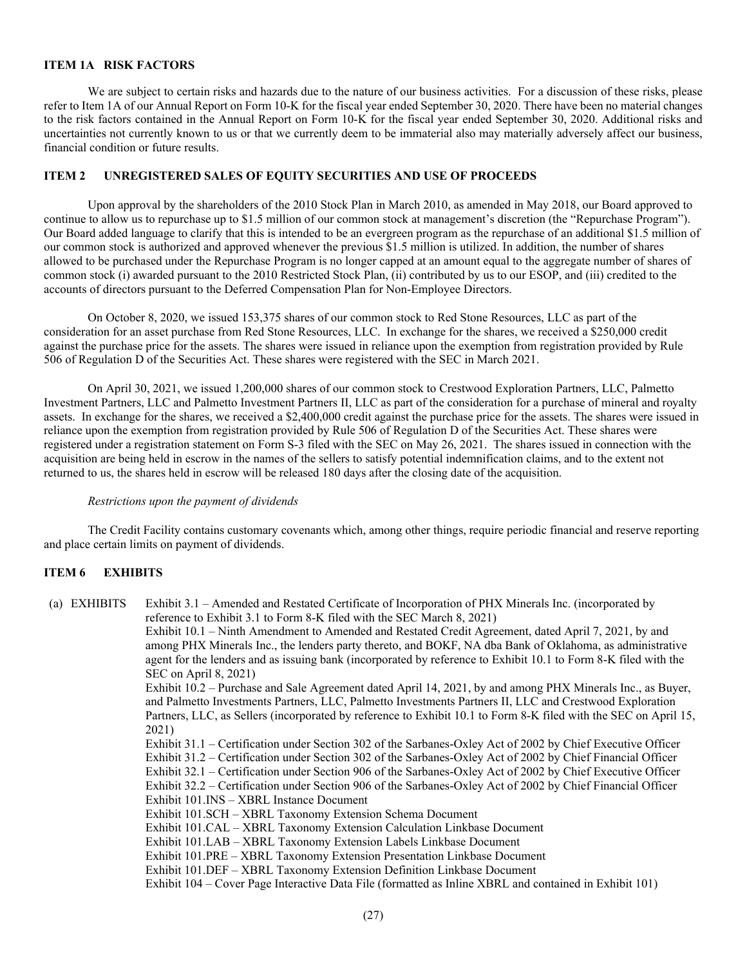### **ITEM 1A RISK FACTORS**

 We are subject to certain risks and hazards due to the nature of our business activities. For a discussion of these risks, please refer to Item 1A of our Annual Report on Form 10-K for the fiscal year ended September 30, 2020. There have been no material changes to the risk factors contained in the Annual Report on Form 10-K for the fiscal year ended September 30, 2020. Additional risks and uncertainties not currently known to us or that we currently deem to be immaterial also may materially adversely affect our business, financial condition or future results.

# **ITEM 2 UNREGISTERED SALES OF EQUITY SECURITIES AND USE OF PROCEEDS**

Upon approval by the shareholders of the 2010 Stock Plan in March 2010, as amended in May 2018, our Board approved to continue to allow us to repurchase up to \$1.5 million of our common stock at management's discretion (the "Repurchase Program"). Our Board added language to clarify that this is intended to be an evergreen program as the repurchase of an additional \$1.5 million of our common stock is authorized and approved whenever the previous \$1.5 million is utilized. In addition, the number of shares allowed to be purchased under the Repurchase Program is no longer capped at an amount equal to the aggregate number of shares of common stock (i) awarded pursuant to the 2010 Restricted Stock Plan, (ii) contributed by us to our ESOP, and (iii) credited to the accounts of directors pursuant to the Deferred Compensation Plan for Non-Employee Directors.

On October 8, 2020, we issued 153,375 shares of our common stock to Red Stone Resources, LLC as part of the consideration for an asset purchase from Red Stone Resources, LLC. In exchange for the shares, we received a \$250,000 credit against the purchase price for the assets. The shares were issued in reliance upon the exemption from registration provided by Rule 506 of Regulation D of the Securities Act. These shares were registered with the SEC in March 2021.

On April 30, 2021, we issued 1,200,000 shares of our common stock to Crestwood Exploration Partners, LLC, Palmetto Investment Partners, LLC and Palmetto Investment Partners II, LLC as part of the consideration for a purchase of mineral and royalty assets. In exchange for the shares, we received a \$2,400,000 credit against the purchase price for the assets. The shares were issued in reliance upon the exemption from registration provided by Rule 506 of Regulation D of the Securities Act. These shares were registered under a registration statement on Form S-3 filed with the SEC on May 26, 2021. The shares issued in connection with the acquisition are being held in escrow in the names of the sellers to satisfy potential indemnification claims, and to the extent not returned to us, the shares held in escrow will be released 180 days after the closing date of the acquisition.

#### *Restrictions upon the payment of dividends*

The Credit Facility contains customary covenants which, among other things, require periodic financial and reserve reporting and place certain limits on payment of dividends.

## **ITEM 6 EXHIBITS**

(a) EXHIBITS Exhibit 3.1 – Amended and Restated Certificate of Incorporation of PHX Minerals Inc. (incorporated by reference to Exhibit 3.1 to Form 8-K filed with the SEC March 8, 2021) Exhibit 10.1 – Ninth Amendment to Amended and Restated Credit Agreement, dated April 7, 2021, by and among PHX Minerals Inc., the lenders party thereto, and BOKF, NA dba Bank of Oklahoma, as administrative agent for the lenders and as issuing bank (incorporated by reference to Exhibit 10.1 to Form 8-K filed with the SEC on April 8, 2021) Exhibit 10.2 – Purchase and Sale Agreement dated April 14, 2021, by and among PHX Minerals Inc., as Buyer, and Palmetto Investments Partners, LLC, Palmetto Investments Partners II, LLC and Crestwood Exploration Partners, LLC, as Sellers (incorporated by reference to Exhibit 10.1 to Form 8-K filed with the SEC on April 15, 2021) Exhibit 31.1 – Certification under Section 302 of the Sarbanes-Oxley Act of 2002 by Chief Executive Officer Exhibit 31.2 – Certification under Section 302 of the Sarbanes-Oxley Act of 2002 by Chief Financial Officer Exhibit 32.1 – Certification under Section 906 of the Sarbanes-Oxley Act of 2002 by Chief Executive Officer Exhibit 32.2 – Certification under Section 906 of the Sarbanes-Oxley Act of 2002 by Chief Financial Officer Exhibit 101.INS – XBRL Instance Document Exhibit 101.SCH – XBRL Taxonomy Extension Schema Document Exhibit 101.CAL – XBRL Taxonomy Extension Calculation Linkbase Document Exhibit 101.LAB – XBRL Taxonomy Extension Labels Linkbase Document Exhibit 101.PRE – XBRL Taxonomy Extension Presentation Linkbase Document Exhibit 101.DEF – XBRL Taxonomy Extension Definition Linkbase Document Exhibit 104 – Cover Page Interactive Data File (formatted as Inline XBRL and contained in Exhibit 101)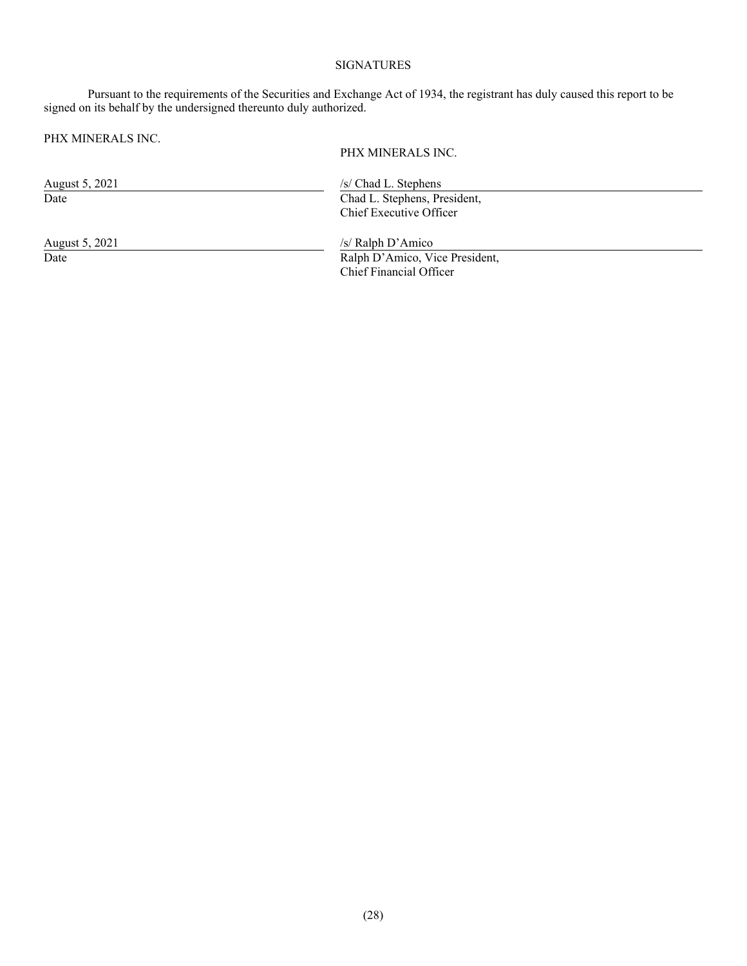## SIGNATURES

Pursuant to the requirements of the Securities and Exchange Act of 1934, the registrant has duly caused this report to be signed on its behalf by the undersigned thereunto duly authorized.

PHX MINERALS INC.

### PHX MINERALS INC.

**August 5, 2021** August 5, 2021 /s/ Chad L. Stephens Date Chad L. Stephens, President,

Chief Executive Officer

August 5, 2021 /s/ Ralph D'Amico<br>Date /s/ Ralph D'Amico, Vi Ralph D'Amico, Vice President, Chief Financial Officer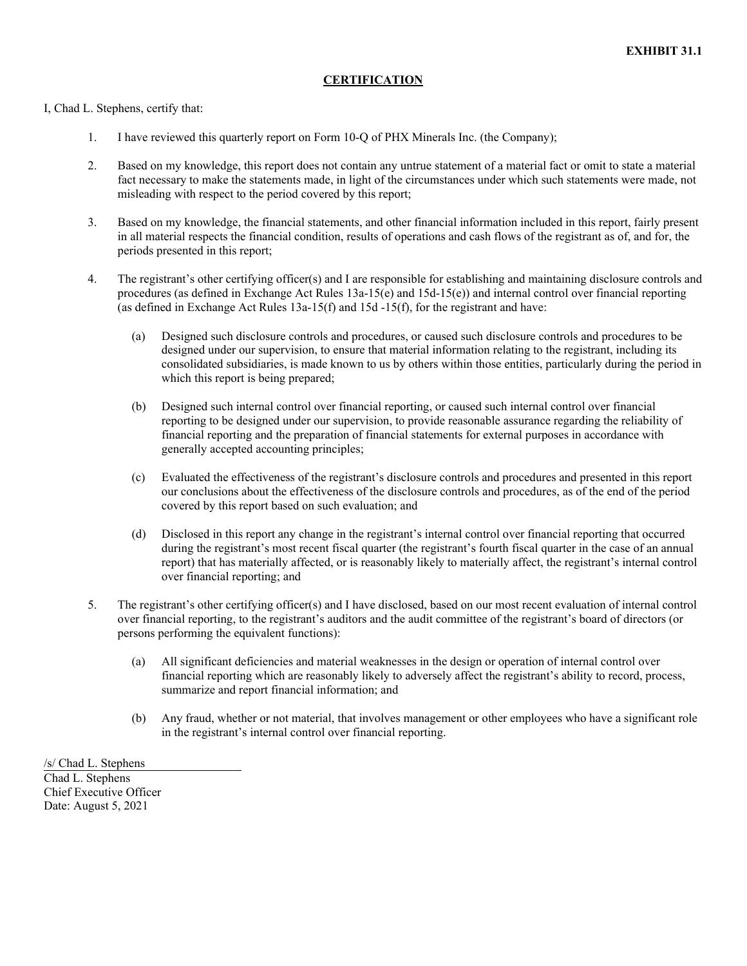# **CERTIFICATION**

# I, Chad L. Stephens, certify that:

- 1. I have reviewed this quarterly report on Form 10-Q of PHX Minerals Inc. (the Company);
- 2. Based on my knowledge, this report does not contain any untrue statement of a material fact or omit to state a material fact necessary to make the statements made, in light of the circumstances under which such statements were made, not misleading with respect to the period covered by this report;
- 3. Based on my knowledge, the financial statements, and other financial information included in this report, fairly present in all material respects the financial condition, results of operations and cash flows of the registrant as of, and for, the periods presented in this report;
- 4. The registrant's other certifying officer(s) and I are responsible for establishing and maintaining disclosure controls and procedures (as defined in Exchange Act Rules 13a-15(e) and 15d-15(e)) and internal control over financial reporting (as defined in Exchange Act Rules 13a-15(f) and 15d -15(f), for the registrant and have:
	- (a) Designed such disclosure controls and procedures, or caused such disclosure controls and procedures to be designed under our supervision, to ensure that material information relating to the registrant, including its consolidated subsidiaries, is made known to us by others within those entities, particularly during the period in which this report is being prepared;
	- (b) Designed such internal control over financial reporting, or caused such internal control over financial reporting to be designed under our supervision, to provide reasonable assurance regarding the reliability of financial reporting and the preparation of financial statements for external purposes in accordance with generally accepted accounting principles;
	- (c) Evaluated the effectiveness of the registrant's disclosure controls and procedures and presented in this report our conclusions about the effectiveness of the disclosure controls and procedures, as of the end of the period covered by this report based on such evaluation; and
	- (d) Disclosed in this report any change in the registrant's internal control over financial reporting that occurred during the registrant's most recent fiscal quarter (the registrant's fourth fiscal quarter in the case of an annual report) that has materially affected, or is reasonably likely to materially affect, the registrant's internal control over financial reporting; and
- 5. The registrant's other certifying officer(s) and I have disclosed, based on our most recent evaluation of internal control over financial reporting, to the registrant's auditors and the audit committee of the registrant's board of directors (or persons performing the equivalent functions):
	- (a) All significant deficiencies and material weaknesses in the design or operation of internal control over financial reporting which are reasonably likely to adversely affect the registrant's ability to record, process, summarize and report financial information; and
	- (b) Any fraud, whether or not material, that involves management or other employees who have a significant role in the registrant's internal control over financial reporting.

/s/ Chad L. Stephens Chad L. Stephens Chief Executive Officer Date: August 5, 2021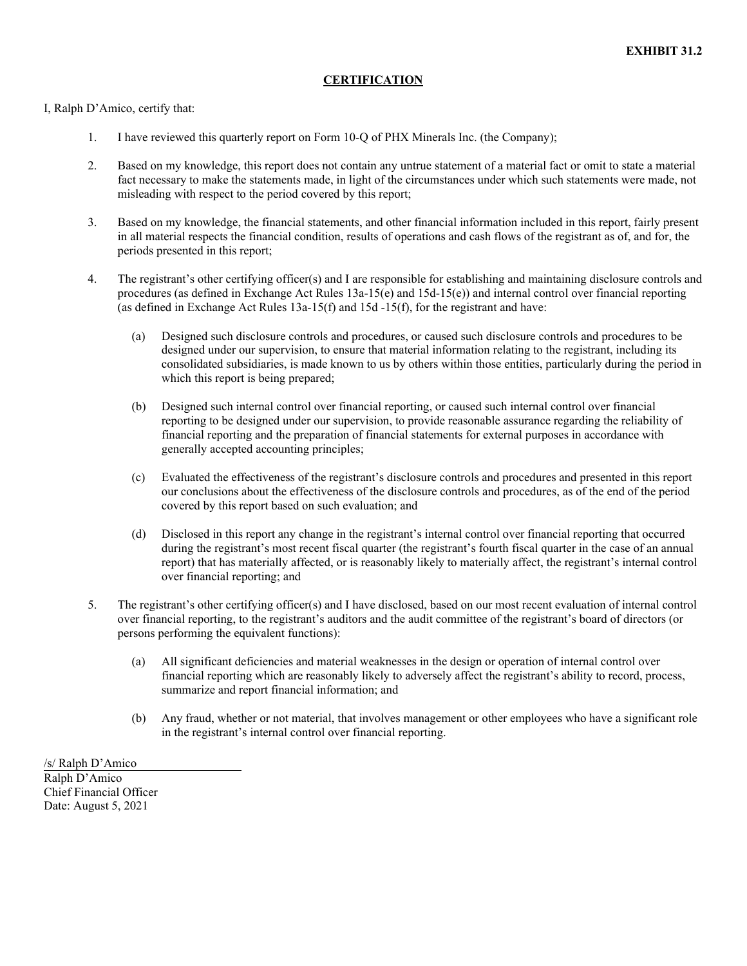# **CERTIFICATION**

# I, Ralph D'Amico, certify that:

- 1. I have reviewed this quarterly report on Form 10-Q of PHX Minerals Inc. (the Company);
- 2. Based on my knowledge, this report does not contain any untrue statement of a material fact or omit to state a material fact necessary to make the statements made, in light of the circumstances under which such statements were made, not misleading with respect to the period covered by this report;
- 3. Based on my knowledge, the financial statements, and other financial information included in this report, fairly present in all material respects the financial condition, results of operations and cash flows of the registrant as of, and for, the periods presented in this report;
- 4. The registrant's other certifying officer(s) and I are responsible for establishing and maintaining disclosure controls and procedures (as defined in Exchange Act Rules 13a-15(e) and 15d-15(e)) and internal control over financial reporting (as defined in Exchange Act Rules 13a-15(f) and 15d -15(f), for the registrant and have:
	- (a) Designed such disclosure controls and procedures, or caused such disclosure controls and procedures to be designed under our supervision, to ensure that material information relating to the registrant, including its consolidated subsidiaries, is made known to us by others within those entities, particularly during the period in which this report is being prepared;
	- (b) Designed such internal control over financial reporting, or caused such internal control over financial reporting to be designed under our supervision, to provide reasonable assurance regarding the reliability of financial reporting and the preparation of financial statements for external purposes in accordance with generally accepted accounting principles;
	- (c) Evaluated the effectiveness of the registrant's disclosure controls and procedures and presented in this report our conclusions about the effectiveness of the disclosure controls and procedures, as of the end of the period covered by this report based on such evaluation; and
	- (d) Disclosed in this report any change in the registrant's internal control over financial reporting that occurred during the registrant's most recent fiscal quarter (the registrant's fourth fiscal quarter in the case of an annual report) that has materially affected, or is reasonably likely to materially affect, the registrant's internal control over financial reporting; and
- 5. The registrant's other certifying officer(s) and I have disclosed, based on our most recent evaluation of internal control over financial reporting, to the registrant's auditors and the audit committee of the registrant's board of directors (or persons performing the equivalent functions):
	- (a) All significant deficiencies and material weaknesses in the design or operation of internal control over financial reporting which are reasonably likely to adversely affect the registrant's ability to record, process, summarize and report financial information; and
	- (b) Any fraud, whether or not material, that involves management or other employees who have a significant role in the registrant's internal control over financial reporting.

/s/ Ralph D'Amico Ralph D'Amico Chief Financial Officer Date: August 5, 2021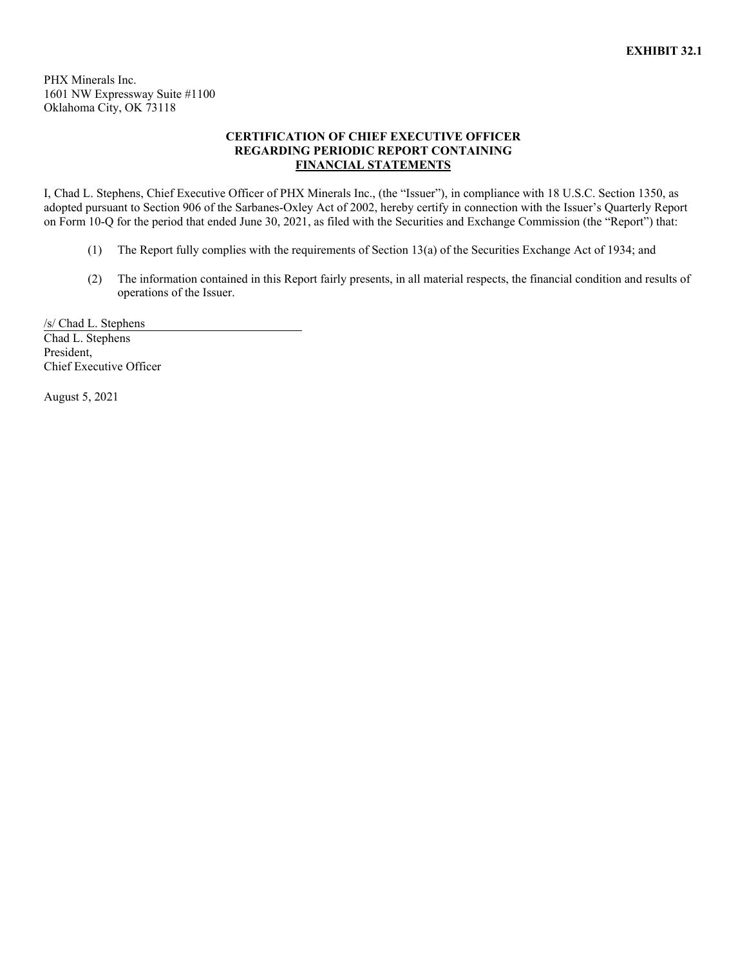PHX Minerals Inc. 1601 NW Expressway Suite #1100 Oklahoma City, OK 73118

# **CERTIFICATION OF CHIEF EXECUTIVE OFFICER REGARDING PERIODIC REPORT CONTAINING FINANCIAL STATEMENTS**

I, Chad L. Stephens, Chief Executive Officer of PHX Minerals Inc., (the "Issuer"), in compliance with 18 U.S.C. Section 1350, as adopted pursuant to Section 906 of the Sarbanes-Oxley Act of 2002, hereby certify in connection with the Issuer's Quarterly Report on Form 10-Q for the period that ended June 30, 2021, as filed with the Securities and Exchange Commission (the "Report") that:

- (1) The Report fully complies with the requirements of Section 13(a) of the Securities Exchange Act of 1934; and
- (2) The information contained in this Report fairly presents, in all material respects, the financial condition and results of operations of the Issuer.

/s/ Chad L. Stephens Chad L. Stephens President, Chief Executive Officer

August 5, 2021